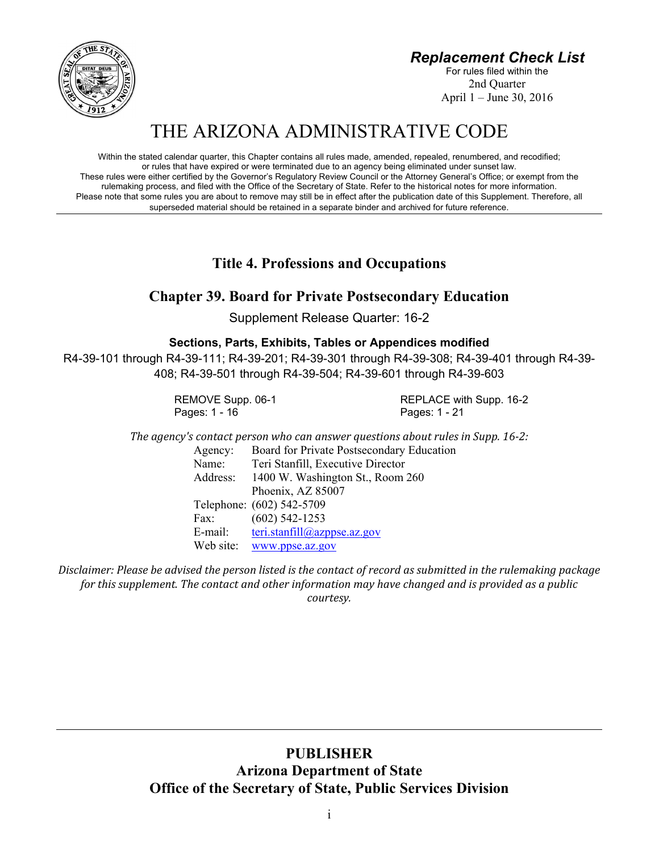*Replacement Check List*

For rules filed within the 2nd Quarter April 1 – June 30, 2016



# THE ARIZONA ADMINISTRATIVE CODE

Within the stated calendar quarter, this Chapter contains all rules made, amended, repealed, renumbered, and recodified; or rules that have expired or were terminated due to an agency being eliminated under sunset law. These rules were either certified by the Governor's Regulatory Review Council or the Attorney General's Office; or exempt from the rulemaking process, and filed with the Office of the Secretary of State. Refer to the historical notes for more information. Please note that some rules you are about to remove may still be in effect after the publication date of this Supplement. Therefore, all superseded material should be retained in a separate binder and archived for future reference.

**Title 4. Professions and Occupations**

## **Chapter 39. Board for Private Postsecondary Education**

Supplement Release Quarter: 16-2

## **Sections, Parts, Exhibits, Tables or Appendices modified**

R4-39-101 through R4-39-111; R4-39-201; R4-39-301 through R4-39-308; R4-39-401 through R4-39- 408; R4-39-501 through R4-39-504; R4-39-601 through R4-39-603

Pages: 1 - 16 Pages: 1 - 21

REMOVE Supp. 06-1 REPLACE with Supp. 16-2

*The agency's contact person who can answer questions about rules in Supp. 16‐2:*

Agency: Board for Private Postsecondary Education Name: Teri Stanfill, Executive Director Address: 1400 W. Washington St., Room 260 Phoenix, AZ 85007 Telephone: (602) 542-5709 Fax: (602) 542-1253 E-mail: teri.stanfill@azppse.az.gov Web site: www.ppse.az.gov

Disclaimer: Please be advised the person listed is the contact of record as submitted in the rulemaking package *for this supplement. The contact and other information may have changed and is provided as a public courtesy.*

> **PUBLISHER Arizona Department of State Office of the Secretary of State, Public Services Division**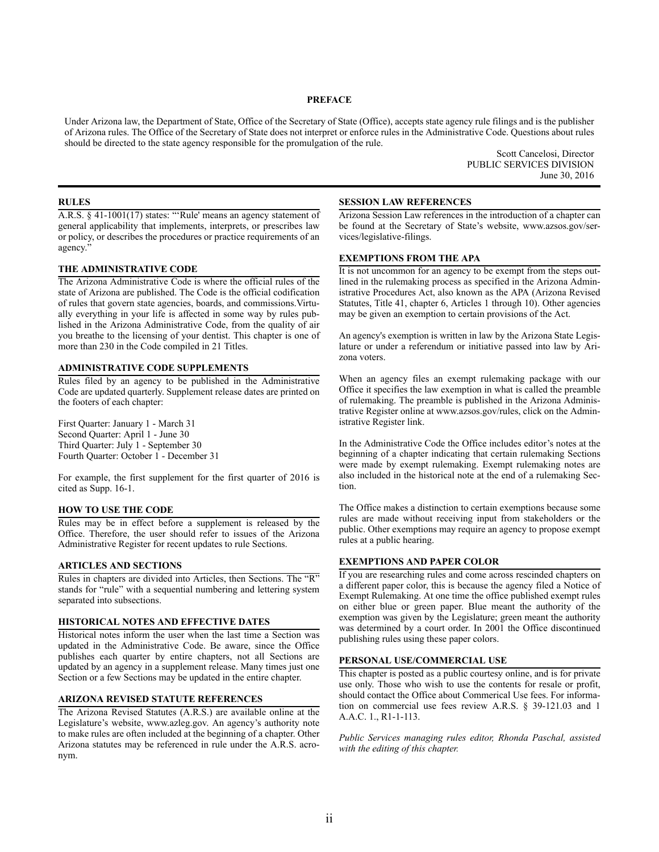#### **PREFACE**

Under Arizona law, the Department of State, Office of the Secretary of State (Office), accepts state agency rule filings and is the publisher of Arizona rules. The Office of the Secretary of State does not interpret or enforce rules in the Administrative Code. Questions about rules should be directed to the state agency responsible for the promulgation of the rule.

> Scott Cancelosi, Director PUBLIC SERVICES DIVISION June 30, 2016

#### **RULES**

A.R.S. § 41-1001(17) states: "'Rule' means an agency statement of general applicability that implements, interprets, or prescribes law or policy, or describes the procedures or practice requirements of an agency."

#### **THE ADMINISTRATIVE CODE**

The Arizona Administrative Code is where the official rules of the state of Arizona are published. The Code is the official codification of rules that govern state agencies, boards, and commissions.Virtually everything in your life is affected in some way by rules published in the Arizona Administrative Code, from the quality of air you breathe to the licensing of your dentist. This chapter is one of more than 230 in the Code compiled in 21 Titles.

#### **ADMINISTRATIVE CODE SUPPLEMENTS**

Rules filed by an agency to be published in the Administrative Code are updated quarterly. Supplement release dates are printed on the footers of each chapter:

First Quarter: January 1 - March 31 Second Quarter: April 1 - June 30 Third Quarter: July 1 - September 30 Fourth Quarter: October 1 - December 31

For example, the first supplement for the first quarter of 2016 is cited as Supp. 16-1.

#### **HOW TO USE THE CODE**

Rules may be in effect before a supplement is released by the Office. Therefore, the user should refer to issues of the Arizona Administrative Register for recent updates to rule Sections.

#### **ARTICLES AND SECTIONS**

Rules in chapters are divided into Articles, then Sections. The "R" stands for "rule" with a sequential numbering and lettering system separated into subsections.

#### **HISTORICAL NOTES AND EFFECTIVE DATES**

Historical notes inform the user when the last time a Section was updated in the Administrative Code. Be aware, since the Office publishes each quarter by entire chapters, not all Sections are updated by an agency in a supplement release. Many times just one Section or a few Sections may be updated in the entire chapter.

## **ARIZONA REVISED STATUTE REFERENCES**

The Arizona Revised Statutes (A.R.S.) are available online at the Legislature's website, www.azleg.gov. An agency's authority note to make rules are often included at the beginning of a chapter. Other Arizona statutes may be referenced in rule under the A.R.S. acronym.

#### **SESSION LAW REFERENCES**

Arizona Session Law references in the introduction of a chapter can be found at the Secretary of State's website, www.azsos.gov/services/legislative-filings.

#### **EXEMPTIONS FROM THE APA**

It is not uncommon for an agency to be exempt from the steps outlined in the rulemaking process as specified in the Arizona Administrative Procedures Act, also known as the APA (Arizona Revised Statutes, Title 41, chapter 6, Articles 1 through 10). Other agencies may be given an exemption to certain provisions of the Act.

An agency's exemption is written in law by the Arizona State Legislature or under a referendum or initiative passed into law by Arizona voters.

When an agency files an exempt rulemaking package with our Office it specifies the law exemption in what is called the preamble of rulemaking. The preamble is published in the Arizona Administrative Register online at www.azsos.gov/rules, click on the Administrative Register link.

In the Administrative Code the Office includes editor's notes at the beginning of a chapter indicating that certain rulemaking Sections were made by exempt rulemaking. Exempt rulemaking notes are also included in the historical note at the end of a rulemaking Section.

The Office makes a distinction to certain exemptions because some rules are made without receiving input from stakeholders or the public. Other exemptions may require an agency to propose exempt rules at a public hearing.

#### **EXEMPTIONS AND PAPER COLOR**

If you are researching rules and come across rescinded chapters on a different paper color, this is because the agency filed a Notice of Exempt Rulemaking. At one time the office published exempt rules on either blue or green paper. Blue meant the authority of the exemption was given by the Legislature; green meant the authority was determined by a court order. In 2001 the Office discontinued publishing rules using these paper colors.

#### **PERSONAL USE/COMMERCIAL USE**

This chapter is posted as a public courtesy online, and is for private use only. Those who wish to use the contents for resale or profit, should contact the Office about Commerical Use fees. For information on commercial use fees review A.R.S. § 39-121.03 and 1 A.A.C. 1., R1-1-113.

*Public Services managing rules editor, Rhonda Paschal, assisted with the editing of this chapter.*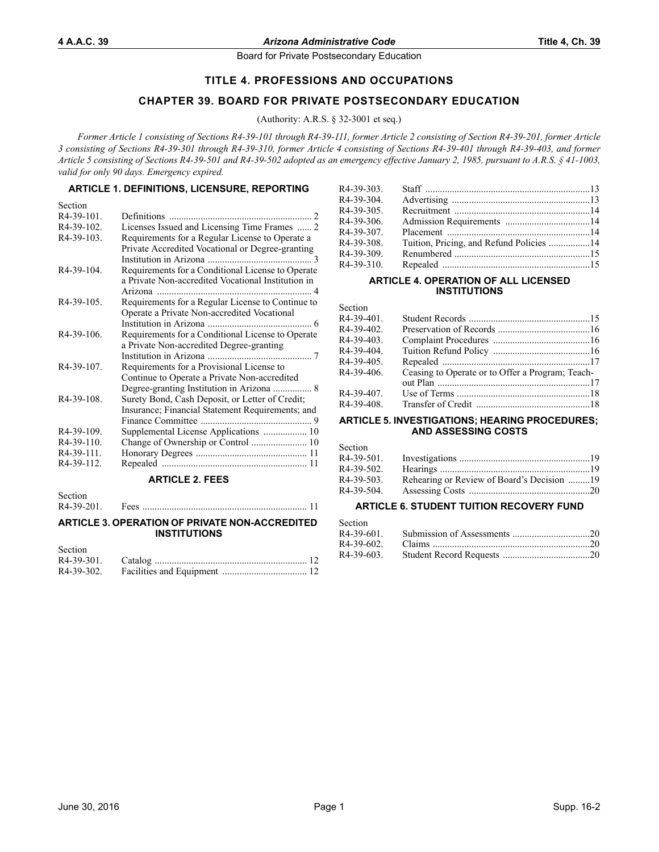## **TITLE 4. PROFESSIONS AND OCCUPATIONS**

## **CHAPTER 39. BOARD FOR PRIVATE POSTSECONDARY EDUCATION**

(Authority: A.R.S. § 32-3001 et seq.)

*Former Article 1 consisting of Sections R4-39-101 through R4-39-111, former Article 2 consisting of Section R4-39-201, former Article 3 consisting of Sections R4-39-301 through R4-39-310, former Article 4 consisting of Sections R4-39-401 through R4-39-403, and former Article 5 consisting of Sections R4-39-501 and R4-39-502 adopted as an emergency effective January 2, 1985, pursuant to A.R.S. § 41-1003, valid for only 90 days. Emergency expired.*

## **ARTICLE 1. DEFINITIONS, LICENSURE, REPORTING**

| Licenses Issued and Licensing Time Frames  2       |
|----------------------------------------------------|
| Requirements for a Regular License to Operate a    |
| Private Accredited Vocational or Degree-granting   |
| $\overline{\mathcal{E}}$                           |
| Requirements for a Conditional License to Operate  |
| a Private Non-accredited Vocational Institution in |
| 4                                                  |
| Requirements for a Regular License to Continue to  |
| Operate a Private Non-accredited Vocational        |
|                                                    |
| Requirements for a Conditional License to Operate  |
| a Private Non-accredited Degree-granting           |
|                                                    |
| Requirements for a Provisional License to          |
| Continue to Operate a Private Non-accredited       |
| Degree-granting Institution in Arizona  8          |
| Surety Bond, Cash Deposit, or Letter of Credit;    |
| Insurance; Financial Statement Requirements; and   |
|                                                    |
| Supplemental License Applications  10              |
| Change of Ownership or Control  10                 |
|                                                    |
|                                                    |
|                                                    |

## **ARTICLE 2. FEES**

Section<br> $R4-39-201$ . R4-39-201. Fees .................................................................... 11

#### **ARTICLE 3. OPERATION OF PRIVATE NON-ACCREDITED INSTITUTIONS**

| Section |  |
|---------|--|
|         |  |
|         |  |

| R4-39-303. |  |
|------------|--|
| R4-39-304. |  |
| R4-39-305. |  |
| R4-39-306. |  |
| R4-39-307. |  |
| R4-39-308. |  |
| R4-39-309. |  |
| R4-39-310. |  |
|            |  |

#### **ARTICLE 4. OPERATION OF ALL LICENSED INSTITUTIONS**

Section

| R4-39-401. |                                                  |  |
|------------|--------------------------------------------------|--|
| R4-39-402. |                                                  |  |
| R4-39-403. |                                                  |  |
| R4-39-404. |                                                  |  |
| R4-39-405. |                                                  |  |
| R4-39-406. | Ceasing to Operate or to Offer a Program; Teach- |  |
|            |                                                  |  |
| R4-39-407. |                                                  |  |
| R4-39-408. |                                                  |  |
|            |                                                  |  |

#### **ARTICLE 5. INVESTIGATIONS; HEARING PROCEDURES; AND ASSESSING COSTS**

Section

| occuoli    |                                            |  |
|------------|--------------------------------------------|--|
| R4-39-501. |                                            |  |
| R4-39-502. |                                            |  |
| R4-39-503. | Rehearing or Review of Board's Decision 19 |  |
| R4-39-504. |                                            |  |

## **ARTICLE 6. STUDENT TUITION RECOVERY FUND**

| Section |  |
|---------|--|
|         |  |
|         |  |
|         |  |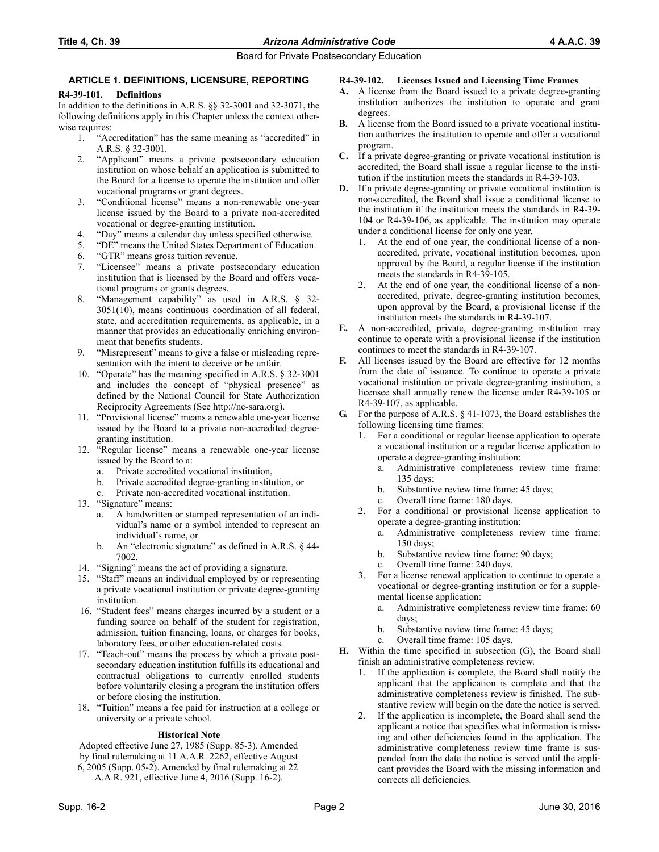## **ARTICLE 1. DEFINITIONS, LICENSURE, REPORTING**

#### **R4-39-101. Definitions**

In addition to the definitions in A.R.S. §§ 32-3001 and 32-3071, the following definitions apply in this Chapter unless the context otherwise requires:

- 1. "Accreditation" has the same meaning as "accredited" in A.R.S. § 32-3001.
- 2. "Applicant" means a private postsecondary education institution on whose behalf an application is submitted to the Board for a license to operate the institution and offer vocational programs or grant degrees.
- 3. "Conditional license" means a non-renewable one-year license issued by the Board to a private non-accredited vocational or degree-granting institution.
- 4. "Day" means a calendar day unless specified otherwise.
- 5. "DE" means the United States Department of Education.
- 6. "GTR" means gross tuition revenue.
- 7. "Licensee" means a private postsecondary education institution that is licensed by the Board and offers vocational programs or grants degrees.
- 8. "Management capability" as used in A.R.S. § 32- 3051(10), means continuous coordination of all federal, state, and accreditation requirements, as applicable, in a manner that provides an educationally enriching environment that benefits students.
- 9. "Misrepresent" means to give a false or misleading representation with the intent to deceive or be unfair.
- 10. "Operate" has the meaning specified in A.R.S. § 32-3001 and includes the concept of "physical presence" as defined by the National Council for State Authorization Reciprocity Agreements (See http://nc-sara.org).
- 11. "Provisional license" means a renewable one-year license issued by the Board to a private non-accredited degreegranting institution.
- 12. "Regular license" means a renewable one-year license issued by the Board to a:
	- a. Private accredited vocational institution,
	- b. Private accredited degree-granting institution, or
	- Private non-accredited vocational institution.
- 13. "Signature" means:
	- a. A handwritten or stamped representation of an individual's name or a symbol intended to represent an individual's name, or
	- b. An "electronic signature" as defined in A.R.S. § 44- 7002.
- 14. "Signing" means the act of providing a signature.
- 15. "Staff" means an individual employed by or representing a private vocational institution or private degree-granting institution.
- 16. "Student fees" means charges incurred by a student or a funding source on behalf of the student for registration, admission, tuition financing, loans, or charges for books, laboratory fees, or other education-related costs.
- 17. "Teach-out" means the process by which a private postsecondary education institution fulfills its educational and contractual obligations to currently enrolled students before voluntarily closing a program the institution offers or before closing the institution.
- 18. "Tuition" means a fee paid for instruction at a college or university or a private school.

## **Historical Note**

Adopted effective June 27, 1985 (Supp. 85-3). Amended by final rulemaking at 11 A.A.R. 2262, effective August 6, 2005 (Supp. 05-2). Amended by final rulemaking at 22

A.A.R. 921, effective June 4, 2016 (Supp. 16-2).

## **R4-39-102. Licenses Issued and Licensing Time Frames**

- **A.** A license from the Board issued to a private degree-granting institution authorizes the institution to operate and grant degrees.
- **B.** A license from the Board issued to a private vocational institution authorizes the institution to operate and offer a vocational program.
- **C.** If a private degree-granting or private vocational institution is accredited, the Board shall issue a regular license to the institution if the institution meets the standards in R4-39-103.
- **D.** If a private degree-granting or private vocational institution is non-accredited, the Board shall issue a conditional license to the institution if the institution meets the standards in R4-39- 104 or R4-39-106, as applicable. The institution may operate under a conditional license for only one year.
	- 1. At the end of one year, the conditional license of a nonaccredited, private, vocational institution becomes, upon approval by the Board, a regular license if the institution meets the standards in R4-39-105.
	- 2. At the end of one year, the conditional license of a nonaccredited, private, degree-granting institution becomes, upon approval by the Board, a provisional license if the institution meets the standards in R4-39-107.
- **E.** A non-accredited, private, degree-granting institution may continue to operate with a provisional license if the institution continues to meet the standards in R4-39-107.
- **F.** All licenses issued by the Board are effective for 12 months from the date of issuance. To continue to operate a private vocational institution or private degree-granting institution, a licensee shall annually renew the license under R4-39-105 or R4-39-107, as applicable.
- **G.** For the purpose of A.R.S. § 41-1073, the Board establishes the following licensing time frames:
	- 1. For a conditional or regular license application to operate a vocational institution or a regular license application to operate a degree-granting institution:
		- a. Administrative completeness review time frame: 135 days;
		- b. Substantive review time frame: 45 days;
		- c. Overall time frame: 180 days.
	- 2. For a conditional or provisional license application to operate a degree-granting institution:
		- a. Administrative completeness review time frame: 150 days;
		- b. Substantive review time frame: 90 days;
		- c. Overall time frame: 240 days.
	- 3. For a license renewal application to continue to operate a vocational or degree-granting institution or for a supplemental license application:
		- a. Administrative completeness review time frame: 60 days;
		- b. Substantive review time frame: 45 days;
		- c. Overall time frame: 105 days.
- **H.** Within the time specified in subsection (G), the Board shall finish an administrative completeness review.
	- If the application is complete, the Board shall notify the applicant that the application is complete and that the administrative completeness review is finished. The substantive review will begin on the date the notice is served.
	- 2. If the application is incomplete, the Board shall send the applicant a notice that specifies what information is missing and other deficiencies found in the application. The administrative completeness review time frame is suspended from the date the notice is served until the applicant provides the Board with the missing information and corrects all deficiencies.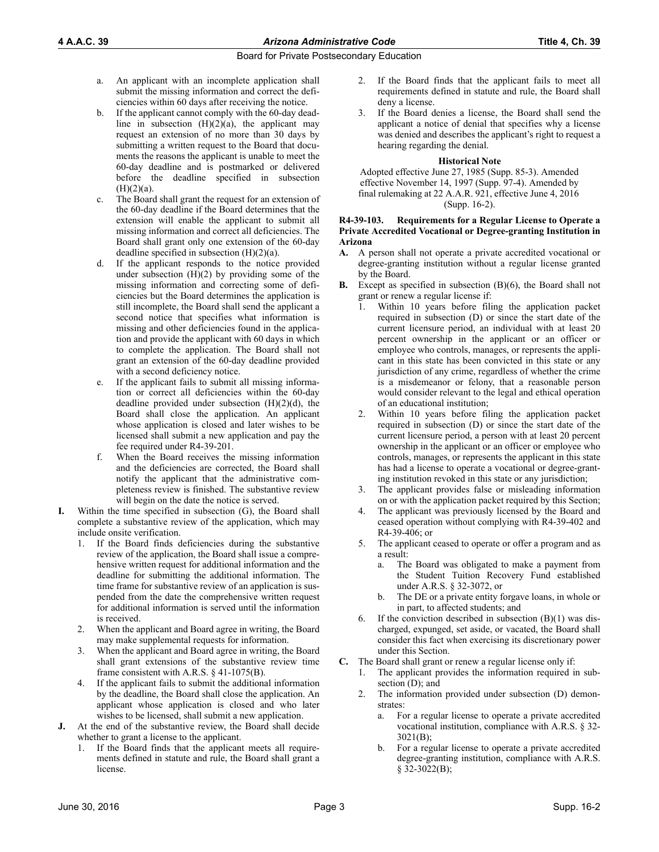- a. An applicant with an incomplete application shall submit the missing information and correct the deficiencies within 60 days after receiving the notice.
- b. If the applicant cannot comply with the 60-day deadline in subsection  $(H)(2)(a)$ , the applicant may request an extension of no more than 30 days by submitting a written request to the Board that documents the reasons the applicant is unable to meet the 60-day deadline and is postmarked or delivered before the deadline specified in subsection  $(H)(2)(a)$ .
- c. The Board shall grant the request for an extension of the 60-day deadline if the Board determines that the extension will enable the applicant to submit all missing information and correct all deficiencies. The Board shall grant only one extension of the 60-day deadline specified in subsection (H)(2)(a).
- d. If the applicant responds to the notice provided under subsection  $(H)(2)$  by providing some of the missing information and correcting some of deficiencies but the Board determines the application is still incomplete, the Board shall send the applicant a second notice that specifies what information is missing and other deficiencies found in the application and provide the applicant with 60 days in which to complete the application. The Board shall not grant an extension of the 60-day deadline provided with a second deficiency notice.
- e. If the applicant fails to submit all missing information or correct all deficiencies within the 60-day deadline provided under subsection  $(H)(2)(d)$ , the Board shall close the application. An applicant whose application is closed and later wishes to be licensed shall submit a new application and pay the fee required under R4-39-201.
- When the Board receives the missing information and the deficiencies are corrected, the Board shall notify the applicant that the administrative completeness review is finished. The substantive review will begin on the date the notice is served.
- **I.** Within the time specified in subsection (G), the Board shall complete a substantive review of the application, which may include onsite verification.
	- 1. If the Board finds deficiencies during the substantive review of the application, the Board shall issue a comprehensive written request for additional information and the deadline for submitting the additional information. The time frame for substantive review of an application is suspended from the date the comprehensive written request for additional information is served until the information is received.
	- 2. When the applicant and Board agree in writing, the Board may make supplemental requests for information.
	- 3. When the applicant and Board agree in writing, the Board shall grant extensions of the substantive review time frame consistent with A.R.S. § 41-1075(B).
	- 4. If the applicant fails to submit the additional information by the deadline, the Board shall close the application. An applicant whose application is closed and who later wishes to be licensed, shall submit a new application.
- **J.** At the end of the substantive review, the Board shall decide whether to grant a license to the applicant.
	- 1. If the Board finds that the applicant meets all requirements defined in statute and rule, the Board shall grant a license.
- 2. If the Board finds that the applicant fails to meet all requirements defined in statute and rule, the Board shall deny a license.
- 3. If the Board denies a license, the Board shall send the applicant a notice of denial that specifies why a license was denied and describes the applicant's right to request a hearing regarding the denial.

#### **Historical Note**

Adopted effective June 27, 1985 (Supp. 85-3). Amended effective November 14, 1997 (Supp. 97-4). Amended by final rulemaking at 22 A.A.R. 921, effective June 4, 2016 (Supp. 16-2).

#### **R4-39-103. Requirements for a Regular License to Operate a Private Accredited Vocational or Degree-granting Institution in Arizona**

- **A.** A person shall not operate a private accredited vocational or degree-granting institution without a regular license granted by the Board.
- **B.** Except as specified in subsection (B)(6), the Board shall not grant or renew a regular license if:
	- Within 10 years before filing the application packet required in subsection (D) or since the start date of the current licensure period, an individual with at least 20 percent ownership in the applicant or an officer or employee who controls, manages, or represents the applicant in this state has been convicted in this state or any jurisdiction of any crime, regardless of whether the crime is a misdemeanor or felony, that a reasonable person would consider relevant to the legal and ethical operation of an educational institution;
	- 2. Within 10 years before filing the application packet required in subsection (D) or since the start date of the current licensure period, a person with at least 20 percent ownership in the applicant or an officer or employee who controls, manages, or represents the applicant in this state has had a license to operate a vocational or degree-granting institution revoked in this state or any jurisdiction;
	- 3. The applicant provides false or misleading information on or with the application packet required by this Section;
	- The applicant was previously licensed by the Board and ceased operation without complying with R4-39-402 and R4-39-406; or
	- 5. The applicant ceased to operate or offer a program and as a result:
		- a. The Board was obligated to make a payment from the Student Tuition Recovery Fund established under A.R.S. § 32-3072, or
		- b. The DE or a private entity forgave loans, in whole or in part, to affected students; and
	- 6. If the conviction described in subsection  $(B)(1)$  was discharged, expunged, set aside, or vacated, the Board shall consider this fact when exercising its discretionary power under this Section.
- **C.** The Board shall grant or renew a regular license only if:
	- 1. The applicant provides the information required in subsection (D); and
	- 2. The information provided under subsection (D) demonstrates:
		- a. For a regular license to operate a private accredited vocational institution, compliance with A.R.S. § 32- 3021(B);
		- b. For a regular license to operate a private accredited degree-granting institution, compliance with A.R.S. § 32-3022(B);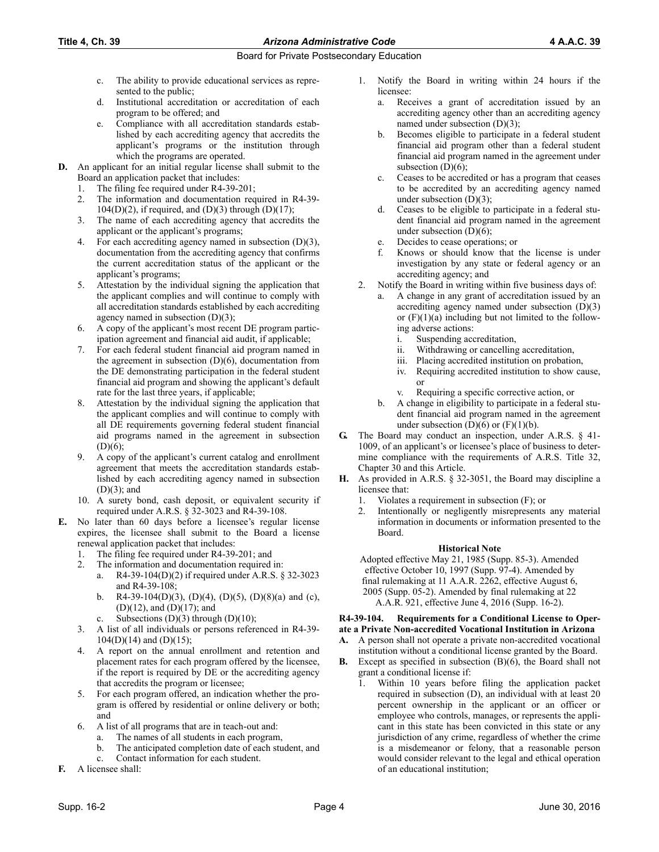## **Title 4, Ch. 39** *Arizona Administrative Code* **4 A.A.C. 39**

## Board for Private Postsecondary Education

- c. The ability to provide educational services as represented to the public;
- d. Institutional accreditation or accreditation of each program to be offered; and
- e. Compliance with all accreditation standards established by each accrediting agency that accredits the applicant's programs or the institution through which the programs are operated.
- **D.** An applicant for an initial regular license shall submit to the Board an application packet that includes:
	- 1. The filing fee required under R4-39-201;
	- 2. The information and documentation required in R4-39-  $104(D)(2)$ , if required, and  $(D)(3)$  through  $(D)(17)$ ;
	- 3. The name of each accrediting agency that accredits the applicant or the applicant's programs;
	- 4. For each accrediting agency named in subsection (D)(3), documentation from the accrediting agency that confirms the current accreditation status of the applicant or the applicant's programs;
	- 5. Attestation by the individual signing the application that the applicant complies and will continue to comply with all accreditation standards established by each accrediting agency named in subsection (D)(3);
	- 6. A copy of the applicant's most recent DE program participation agreement and financial aid audit, if applicable;
	- 7. For each federal student financial aid program named in the agreement in subsection (D)(6), documentation from the DE demonstrating participation in the federal student financial aid program and showing the applicant's default rate for the last three years, if applicable;
	- Attestation by the individual signing the application that the applicant complies and will continue to comply with all DE requirements governing federal student financial aid programs named in the agreement in subsection (D)(6);
	- 9. A copy of the applicant's current catalog and enrollment agreement that meets the accreditation standards established by each accrediting agency named in subsection (D)(3); and
	- 10. A surety bond, cash deposit, or equivalent security if required under A.R.S. § 32-3023 and R4-39-108.
- **E.** No later than 60 days before a licensee's regular license expires, the licensee shall submit to the Board a license renewal application packet that includes:
	- 1. The filing fee required under R4-39-201; and
	- 2. The information and documentation required in:
		- a. R4-39-104(D)(2) if required under A.R.S. § 32-3023 and R4-39-108;
		- b. R4-39-104(D)(3), (D)(4), (D)(5), (D)(8)(a) and (c), (D)(12), and (D)(17); and
		- c. Subsections  $(D)(3)$  through  $(D)(10)$ ;
	- 3. A list of all individuals or persons referenced in R4-39-  $104(D)(14)$  and  $(D)(15)$ ;
	- 4. A report on the annual enrollment and retention and placement rates for each program offered by the licensee, if the report is required by DE or the accrediting agency that accredits the program or licensee;
	- 5. For each program offered, an indication whether the program is offered by residential or online delivery or both; and
	- 6. A list of all programs that are in teach-out and:
		- a. The names of all students in each program,
		- b. The anticipated completion date of each student, and
		- c. Contact information for each student.
- **F.** A licensee shall:
- 1. Notify the Board in writing within 24 hours if the licensee:
	- a. Receives a grant of accreditation issued by an accrediting agency other than an accrediting agency named under subsection (D)(3);
	- b. Becomes eligible to participate in a federal student financial aid program other than a federal student financial aid program named in the agreement under subsection  $(D)(6)$ ;
	- c. Ceases to be accredited or has a program that ceases to be accredited by an accrediting agency named under subsection (D)(3);
	- Ceases to be eligible to participate in a federal student financial aid program named in the agreement under subsection (D)(6);
	- e. Decides to cease operations; or
	- Knows or should know that the license is under investigation by any state or federal agency or an accrediting agency; and
- 2. Notify the Board in writing within five business days of:
	- a. A change in any grant of accreditation issued by an accrediting agency named under subsection (D)(3) or  $(F)(1)(a)$  including but not limited to the following adverse actions:
		- i. Suspending accreditation,
		- ii. Withdrawing or cancelling accreditation,
		- iii. Placing accredited institution on probation,
		- iv. Requiring accredited institution to show cause, or
		- v. Requiring a specific corrective action, or
	- b. A change in eligibility to participate in a federal student financial aid program named in the agreement under subsection  $(D)(6)$  or  $(F)(1)(b)$ .
- **G.** The Board may conduct an inspection, under A.R.S. § 41- 1009, of an applicant's or licensee's place of business to determine compliance with the requirements of A.R.S. Title 32, Chapter 30 and this Article.
- **H.** As provided in A.R.S. § 32-3051, the Board may discipline a licensee that:
	- 1. Violates a requirement in subsection (F); or
	- 2. Intentionally or negligently misrepresents any material information in documents or information presented to the Board.

## **Historical Note**

Adopted effective May 21, 1985 (Supp. 85-3). Amended effective October 10, 1997 (Supp. 97-4). Amended by final rulemaking at 11 A.A.R. 2262, effective August 6, 2005 (Supp. 05-2). Amended by final rulemaking at 22 A.A.R. 921, effective June 4, 2016 (Supp. 16-2).

#### **R4-39-104. Requirements for a Conditional License to Operate a Private Non-accredited Vocational Institution in Arizona**

- **A.** A person shall not operate a private non-accredited vocational institution without a conditional license granted by the Board.
- **B.** Except as specified in subsection (B)(6), the Board shall not grant a conditional license if:
	- 1. Within 10 years before filing the application packet required in subsection (D), an individual with at least 20 percent ownership in the applicant or an officer or employee who controls, manages, or represents the applicant in this state has been convicted in this state or any jurisdiction of any crime, regardless of whether the crime is a misdemeanor or felony, that a reasonable person would consider relevant to the legal and ethical operation of an educational institution;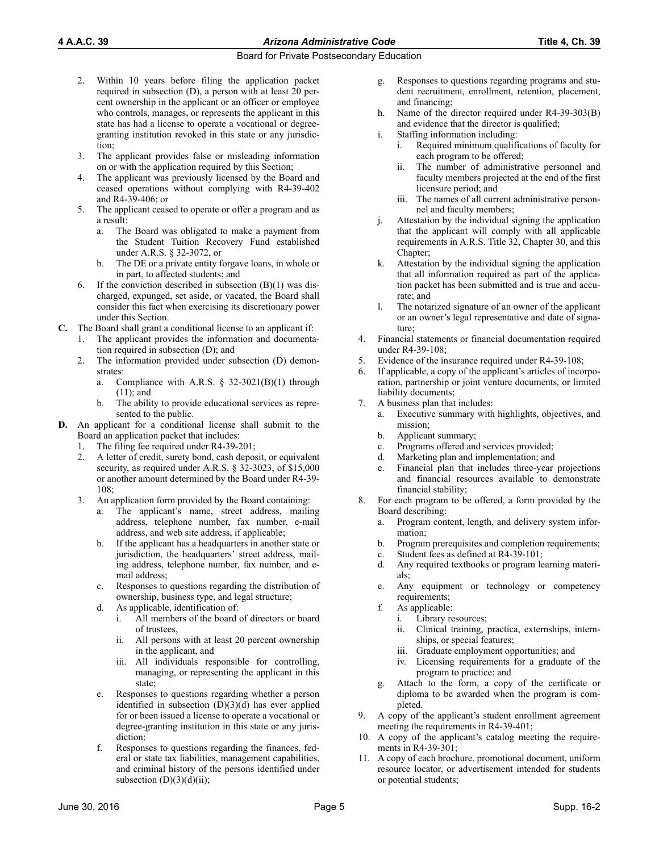- 2. Within 10 years before filing the application packet required in subsection (D), a person with at least 20 percent ownership in the applicant or an officer or employee who controls, manages, or represents the applicant in this state has had a license to operate a vocational or degreegranting institution revoked in this state or any jurisdiction;
- 3. The applicant provides false or misleading information on or with the application required by this Section;
- 4. The applicant was previously licensed by the Board and ceased operations without complying with R4-39-402 and R4-39-406; or
- The applicant ceased to operate or offer a program and as a result:
	- a. The Board was obligated to make a payment from the Student Tuition Recovery Fund established under A.R.S. § 32-3072, or
	- b. The DE or a private entity forgave loans, in whole or in part, to affected students; and
- 6. If the conviction described in subsection  $(B)(1)$  was discharged, expunged, set aside, or vacated, the Board shall consider this fact when exercising its discretionary power under this Section.
- **C.** The Board shall grant a conditional license to an applicant if:
	- 1. The applicant provides the information and documentation required in subsection (D); and
	- The information provided under subsection (D) demonstrates:
		- a. Compliance with A.R.S.  $\S$  32-3021(B)(1) through (11); and
		- b. The ability to provide educational services as represented to the public.
- **D.** An applicant for a conditional license shall submit to the Board an application packet that includes:
	- 1. The filing fee required under R4-39-201;
	- 2. A letter of credit, surety bond, cash deposit, or equivalent security, as required under A.R.S. § 32-3023, of \$15,000 or another amount determined by the Board under R4-39- 108;
	- 3. An application form provided by the Board containing:
		- a. The applicant's name, street address, mailing address, telephone number, fax number, e-mail address, and web site address, if applicable;
		- b. If the applicant has a headquarters in another state or jurisdiction, the headquarters' street address, mailing address, telephone number, fax number, and email address;
		- c. Responses to questions regarding the distribution of ownership, business type, and legal structure;
		- d. As applicable, identification of:
			- i. All members of the board of directors or board of trustees,
			- ii. All persons with at least 20 percent ownership in the applicant, and
			- iii. All individuals responsible for controlling, managing, or representing the applicant in this state;
		- e. Responses to questions regarding whether a person identified in subsection  $(D)(3)(d)$  has ever applied for or been issued a license to operate a vocational or degree-granting institution in this state or any jurisdiction;
		- f. Responses to questions regarding the finances, federal or state tax liabilities, management capabilities, and criminal history of the persons identified under subsection  $(D)(3)(d)(ii)$ ;
- g. Responses to questions regarding programs and student recruitment, enrollment, retention, placement, and financing;
- h. Name of the director required under R4-39-303(B) and evidence that the director is qualified;
- i. Staffing information including:
	- i. Required minimum qualifications of faculty for each program to be offered;
	- ii. The number of administrative personnel and faculty members projected at the end of the first licensure period; and
	- iii. The names of all current administrative personnel and faculty members;
- j. Attestation by the individual signing the application that the applicant will comply with all applicable requirements in A.R.S. Title 32, Chapter 30, and this Chapter;
- k. Attestation by the individual signing the application that all information required as part of the application packet has been submitted and is true and accurate; and
- l. The notarized signature of an owner of the applicant or an owner's legal representative and date of signature;
- 4. Financial statements or financial documentation required under R4-39-108;
- 5. Evidence of the insurance required under R4-39-108;
- If applicable, a copy of the applicant's articles of incorporation, partnership or joint venture documents, or limited liability documents;
- 7. A business plan that includes:
	- a. Executive summary with highlights, objectives, and mission;
	- b. Applicant summary;
	- c. Programs offered and services provided;
	- d. Marketing plan and implementation; and
	- e. Financial plan that includes three-year projections and financial resources available to demonstrate financial stability;
- 8. For each program to be offered, a form provided by the Board describing:
	- a. Program content, length, and delivery system information;
	- b. Program prerequisites and completion requirements;
	- c. Student fees as defined at R4-39-101;
	- d. Any required textbooks or program learning materials;
	- e. Any equipment or technology or competency requirements:
	- f. As applicable:
		- i. Library resources;
		- ii. Clinical training, practica, externships, internships, or special features;
		- iii. Graduate employment opportunities; and
		- iv. Licensing requirements for a graduate of the program to practice; and
	- g. Attach to the form, a copy of the certificate or diploma to be awarded when the program is completed.
- 9. A copy of the applicant's student enrollment agreement meeting the requirements in R4-39-401;
- 10. A copy of the applicant's catalog meeting the requirements in R4-39-301;
- 11. A copy of each brochure, promotional document, uniform resource locator, or advertisement intended for students or potential students;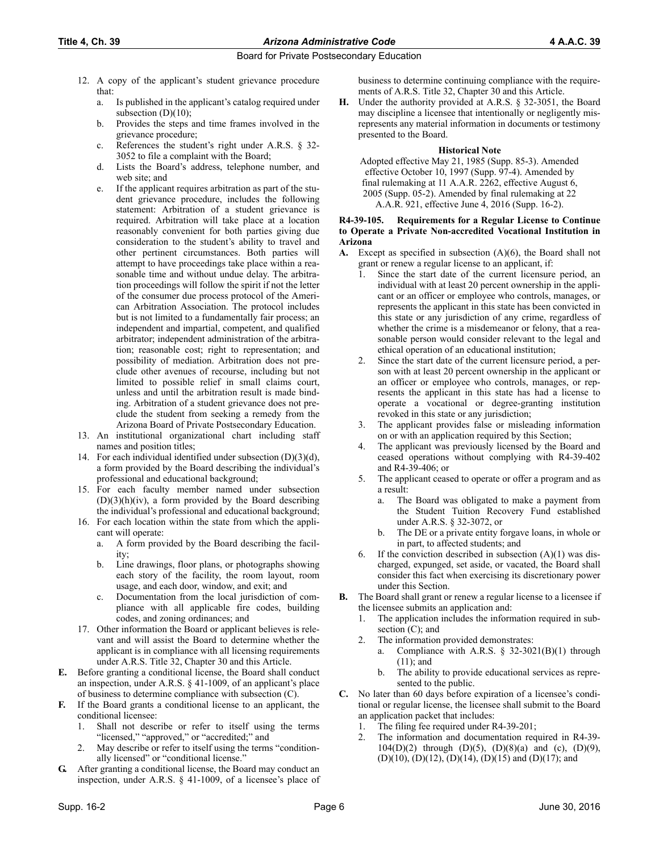- 12. A copy of the applicant's student grievance procedure that:
	- a. Is published in the applicant's catalog required under subsection  $(D)(10)$ ;
	- b. Provides the steps and time frames involved in the grievance procedure;
	- c. References the student's right under A.R.S. § 32- 3052 to file a complaint with the Board;
	- d. Lists the Board's address, telephone number, and web site; and
	- e. If the applicant requires arbitration as part of the student grievance procedure, includes the following statement: Arbitration of a student grievance is required. Arbitration will take place at a location reasonably convenient for both parties giving due consideration to the student's ability to travel and other pertinent circumstances. Both parties will attempt to have proceedings take place within a reasonable time and without undue delay. The arbitration proceedings will follow the spirit if not the letter of the consumer due process protocol of the American Arbitration Association. The protocol includes but is not limited to a fundamentally fair process; an independent and impartial, competent, and qualified arbitrator; independent administration of the arbitration; reasonable cost; right to representation; and possibility of mediation. Arbitration does not preclude other avenues of recourse, including but not limited to possible relief in small claims court, unless and until the arbitration result is made binding. Arbitration of a student grievance does not preclude the student from seeking a remedy from the Arizona Board of Private Postsecondary Education.
- 13. An institutional organizational chart including staff names and position titles;
- 14. For each individual identified under subsection (D)(3)(d), a form provided by the Board describing the individual's professional and educational background;
- 15. For each faculty member named under subsection  $(D)(3)(h)(iv)$ , a form provided by the Board describing the individual's professional and educational background;
- 16. For each location within the state from which the applicant will operate:
	- a. A form provided by the Board describing the facility;
	- b. Line drawings, floor plans, or photographs showing each story of the facility, the room layout, room usage, and each door, window, and exit; and
	- c. Documentation from the local jurisdiction of compliance with all applicable fire codes, building codes, and zoning ordinances; and
- 17. Other information the Board or applicant believes is relevant and will assist the Board to determine whether the applicant is in compliance with all licensing requirements under A.R.S. Title 32, Chapter 30 and this Article.
- **E.** Before granting a conditional license, the Board shall conduct an inspection, under A.R.S. § 41-1009, of an applicant's place of business to determine compliance with subsection (C).
- **F.** If the Board grants a conditional license to an applicant, the conditional licensee:
	- 1. Shall not describe or refer to itself using the terms "licensed," "approved," or "accredited;" and
	- 2. May describe or refer to itself using the terms "conditionally licensed" or "conditional license."
- **G.** After granting a conditional license, the Board may conduct an inspection, under A.R.S. § 41-1009, of a licensee's place of

business to determine continuing compliance with the requirements of A.R.S. Title 32, Chapter 30 and this Article.

**H.** Under the authority provided at A.R.S. § 32-3051, the Board may discipline a licensee that intentionally or negligently misrepresents any material information in documents or testimony presented to the Board.

#### **Historical Note**

Adopted effective May 21, 1985 (Supp. 85-3). Amended effective October 10, 1997 (Supp. 97-4). Amended by final rulemaking at 11 A.A.R. 2262, effective August 6, 2005 (Supp. 05-2). Amended by final rulemaking at 22 A.A.R. 921, effective June 4, 2016 (Supp. 16-2).

#### **R4-39-105. Requirements for a Regular License to Continue to Operate a Private Non-accredited Vocational Institution in Arizona**

- **A.** Except as specified in subsection (A)(6), the Board shall not grant or renew a regular license to an applicant, if:
	- 1. Since the start date of the current licensure period, an individual with at least 20 percent ownership in the applicant or an officer or employee who controls, manages, or represents the applicant in this state has been convicted in this state or any jurisdiction of any crime, regardless of whether the crime is a misdemeanor or felony, that a reasonable person would consider relevant to the legal and ethical operation of an educational institution;
	- Since the start date of the current licensure period, a person with at least 20 percent ownership in the applicant or an officer or employee who controls, manages, or represents the applicant in this state has had a license to operate a vocational or degree-granting institution revoked in this state or any jurisdiction;
	- The applicant provides false or misleading information on or with an application required by this Section;
	- 4. The applicant was previously licensed by the Board and ceased operations without complying with R4-39-402 and R4-39-406; or
	- 5. The applicant ceased to operate or offer a program and as a result:
		- a. The Board was obligated to make a payment from the Student Tuition Recovery Fund established under A.R.S. § 32-3072, or
		- b. The DE or a private entity forgave loans, in whole or in part, to affected students; and
	- 6. If the conviction described in subsection  $(A)(1)$  was discharged, expunged, set aside, or vacated, the Board shall consider this fact when exercising its discretionary power under this Section.
- **B.** The Board shall grant or renew a regular license to a licensee if the licensee submits an application and:
	- 1. The application includes the information required in subsection (C); and
	- 2. The information provided demonstrates:
		- a. Compliance with A.R.S.  $\S$  32-3021(B)(1) through (11); and
		- b. The ability to provide educational services as represented to the public.
- **C.** No later than 60 days before expiration of a licensee's conditional or regular license, the licensee shall submit to the Board an application packet that includes:
	- 1. The filing fee required under R4-39-201;
	- 2. The information and documentation required in R4-39- 104(D)(2) through (D)(5), (D)(8)(a) and (c), (D)(9), (D)(10), (D)(12), (D)(14), (D)(15) and (D)(17); and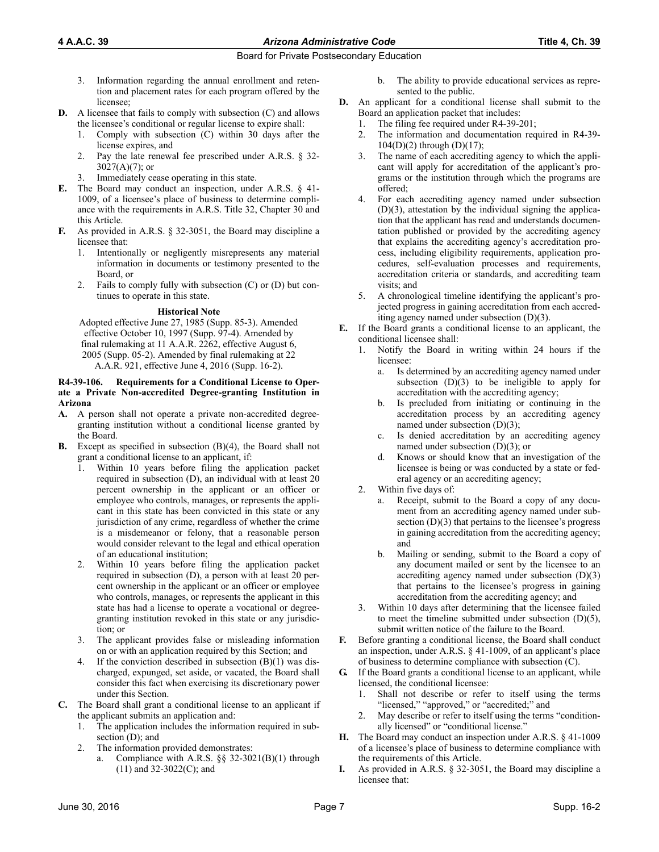## **4 A.A.C. 39** *Arizona Administrative Code* **Title 4, Ch. 39**

## Board for Private Postsecondary Education

- 3. Information regarding the annual enrollment and retention and placement rates for each program offered by the licensee;
- **D.** A licensee that fails to comply with subsection (C) and allows the licensee's conditional or regular license to expire shall:
	- 1. Comply with subsection (C) within 30 days after the license expires, and
	- 2. Pay the late renewal fee prescribed under A.R.S. § 32-  $3027(A)(7)$ ; or
	- 3. Immediately cease operating in this state.
- **E.** The Board may conduct an inspection, under A.R.S. § 41- 1009, of a licensee's place of business to determine compliance with the requirements in A.R.S. Title 32, Chapter 30 and this Article.
- **F.** As provided in A.R.S. § 32-3051, the Board may discipline a licensee that:
	- 1. Intentionally or negligently misrepresents any material information in documents or testimony presented to the Board, or
	- 2. Fails to comply fully with subsection (C) or (D) but continues to operate in this state.

## **Historical Note**

Adopted effective June 27, 1985 (Supp. 85-3). Amended effective October 10, 1997 (Supp. 97-4). Amended by final rulemaking at 11 A.A.R. 2262, effective August 6, 2005 (Supp. 05-2). Amended by final rulemaking at 22 A.A.R. 921, effective June 4, 2016 (Supp. 16-2).

#### **R4-39-106. Requirements for a Conditional License to Operate a Private Non-accredited Degree-granting Institution in Arizona**

- **A.** A person shall not operate a private non-accredited degreegranting institution without a conditional license granted by the Board.
- **B.** Except as specified in subsection (B)(4), the Board shall not grant a conditional license to an applicant, if:
	- Within 10 years before filing the application packet required in subsection (D), an individual with at least 20 percent ownership in the applicant or an officer or employee who controls, manages, or represents the applicant in this state has been convicted in this state or any jurisdiction of any crime, regardless of whether the crime is a misdemeanor or felony, that a reasonable person would consider relevant to the legal and ethical operation of an educational institution;
	- 2. Within 10 years before filing the application packet required in subsection (D), a person with at least 20 percent ownership in the applicant or an officer or employee who controls, manages, or represents the applicant in this state has had a license to operate a vocational or degreegranting institution revoked in this state or any jurisdiction; or
	- 3. The applicant provides false or misleading information on or with an application required by this Section; and
	- If the conviction described in subsection  $(B)(1)$  was discharged, expunged, set aside, or vacated, the Board shall consider this fact when exercising its discretionary power under this Section.
- **C.** The Board shall grant a conditional license to an applicant if the applicant submits an application and:
	- 1. The application includes the information required in subsection (D); and
	- 2. The information provided demonstrates:
		- a. Compliance with A.R.S. §§ 32-3021(B)(1) through (11) and 32-3022(C); and
- b. The ability to provide educational services as represented to the public.
- **D.** An applicant for a conditional license shall submit to the Board an application packet that includes:
	- 1. The filing fee required under R4-39-201;
	- 2. The information and documentation required in R4-39-  $104(D)(2)$  through  $(D)(17)$ ;
	- 3. The name of each accrediting agency to which the applicant will apply for accreditation of the applicant's programs or the institution through which the programs are offered;
	- 4. For each accrediting agency named under subsection  $(D)(3)$ , attestation by the individual signing the application that the applicant has read and understands documentation published or provided by the accrediting agency that explains the accrediting agency's accreditation process, including eligibility requirements, application procedures, self-evaluation processes and requirements, accreditation criteria or standards, and accrediting team visits; and
	- 5. A chronological timeline identifying the applicant's projected progress in gaining accreditation from each accrediting agency named under subsection (D)(3).
- **E.** If the Board grants a conditional license to an applicant, the conditional licensee shall:
	- 1. Notify the Board in writing within 24 hours if the licensee:
		- a. Is determined by an accrediting agency named under subsection  $(D)(3)$  to be ineligible to apply for accreditation with the accrediting agency;
		- b. Is precluded from initiating or continuing in the accreditation process by an accrediting agency named under subsection (D)(3);
		- c. Is denied accreditation by an accrediting agency named under subsection (D)(3); or
		- d. Knows or should know that an investigation of the licensee is being or was conducted by a state or federal agency or an accrediting agency;
	- 2. Within five days of:
		- a. Receipt, submit to the Board a copy of any document from an accrediting agency named under subsection  $(D)(3)$  that pertains to the licensee's progress in gaining accreditation from the accrediting agency; and
		- b. Mailing or sending, submit to the Board a copy of any document mailed or sent by the licensee to an accrediting agency named under subsection (D)(3) that pertains to the licensee's progress in gaining accreditation from the accrediting agency; and
	- 3. Within 10 days after determining that the licensee failed to meet the timeline submitted under subsection (D)(5), submit written notice of the failure to the Board.
- **F.** Before granting a conditional license, the Board shall conduct an inspection, under A.R.S. § 41-1009, of an applicant's place of business to determine compliance with subsection (C).
- **G.** If the Board grants a conditional license to an applicant, while licensed, the conditional licensee:
	- 1. Shall not describe or refer to itself using the terms "licensed," "approved," or "accredited;" and
	- May describe or refer to itself using the terms "conditionally licensed" or "conditional license."
- **H.** The Board may conduct an inspection under A.R.S. § 41-1009 of a licensee's place of business to determine compliance with the requirements of this Article.
- **I.** As provided in A.R.S. § 32-3051, the Board may discipline a licensee that: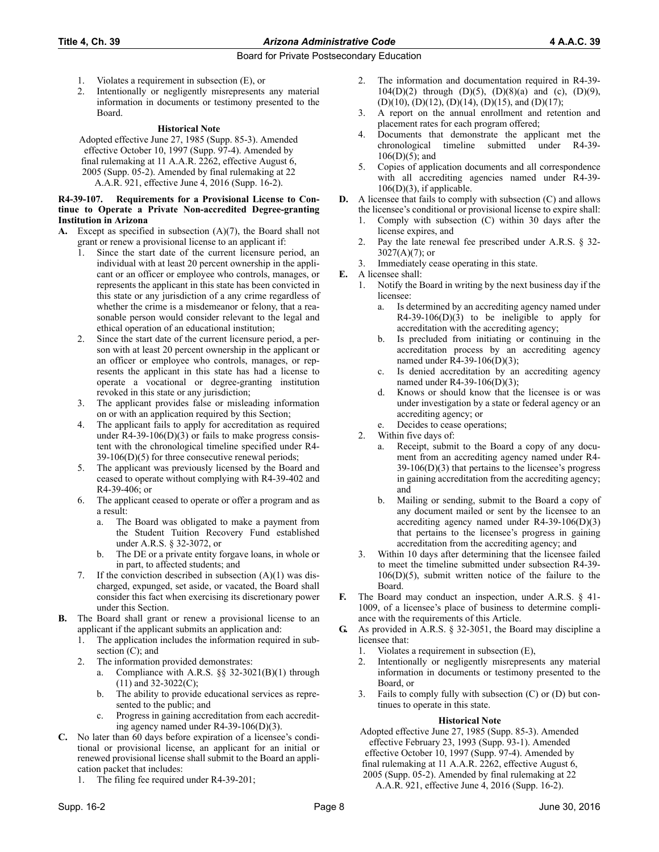- 1. Violates a requirement in subsection (E), or
- 2. Intentionally or negligently misrepresents any material information in documents or testimony presented to the Board.

#### **Historical Note**

Adopted effective June 27, 1985 (Supp. 85-3). Amended effective October 10, 1997 (Supp. 97-4). Amended by final rulemaking at 11 A.A.R. 2262, effective August 6, 2005 (Supp. 05-2). Amended by final rulemaking at 22 A.A.R. 921, effective June 4, 2016 (Supp. 16-2).

#### **R4-39-107. Requirements for a Provisional License to Continue to Operate a Private Non-accredited Degree-granting Institution in Arizona**

- **A.** Except as specified in subsection (A)(7), the Board shall not grant or renew a provisional license to an applicant if:
	- 1. Since the start date of the current licensure period, an individual with at least 20 percent ownership in the applicant or an officer or employee who controls, manages, or represents the applicant in this state has been convicted in this state or any jurisdiction of a any crime regardless of whether the crime is a misdemeanor or felony, that a reasonable person would consider relevant to the legal and ethical operation of an educational institution;
	- 2. Since the start date of the current licensure period, a person with at least 20 percent ownership in the applicant or an officer or employee who controls, manages, or represents the applicant in this state has had a license to operate a vocational or degree-granting institution revoked in this state or any jurisdiction;
	- 3. The applicant provides false or misleading information on or with an application required by this Section;
	- 4. The applicant fails to apply for accreditation as required under R4-39-106(D)(3) or fails to make progress consistent with the chronological timeline specified under R4- 39-106(D)(5) for three consecutive renewal periods;
	- 5. The applicant was previously licensed by the Board and ceased to operate without complying with R4-39-402 and R4-39-406; or
	- 6. The applicant ceased to operate or offer a program and as a result:
		- a. The Board was obligated to make a payment from the Student Tuition Recovery Fund established under A.R.S. § 32-3072, or
		- b. The DE or a private entity forgave loans, in whole or in part, to affected students; and
	- 7. If the conviction described in subsection (A)(1) was discharged, expunged, set aside, or vacated, the Board shall consider this fact when exercising its discretionary power under this Section.
- **B.** The Board shall grant or renew a provisional license to an applicant if the applicant submits an application and:
	- 1. The application includes the information required in subsection (C); and
	- 2. The information provided demonstrates:
		- a. Compliance with A.R.S. §§ 32-3021(B)(1) through  $(11)$  and 32-3022 $(C)$ ;
		- b. The ability to provide educational services as represented to the public; and
		- c. Progress in gaining accreditation from each accrediting agency named under R4-39-106(D)(3).
- **C.** No later than 60 days before expiration of a licensee's conditional or provisional license, an applicant for an initial or renewed provisional license shall submit to the Board an application packet that includes:
	- 1. The filing fee required under R4-39-201;
- 2. The information and documentation required in R4-39- 104(D)(2) through (D)(5), (D)(8)(a) and (c), (D)(9),  $(D)(10)$ ,  $(D)(12)$ ,  $(D)(14)$ ,  $(D)(15)$ , and  $(D)(17)$ ;
- 3. A report on the annual enrollment and retention and placement rates for each program offered;
- 4. Documents that demonstrate the applicant met the chronological timeline submitted under R4-39-  $106(D)(5)$ ; and
- 5. Copies of application documents and all correspondence with all accrediting agencies named under R4-39- 106(D)(3), if applicable.
- **D.** A licensee that fails to comply with subsection (C) and allows the licensee's conditional or provisional license to expire shall:
	- Comply with subsection  $(C)$  within 30 days after the license expires, and
	- 2. Pay the late renewal fee prescribed under A.R.S. § 32-  $3027(A)(7)$ ; or
	- 3. Immediately cease operating in this state.
- **E.** A licensee shall:
	- 1. Notify the Board in writing by the next business day if the licensee:
		- a. Is determined by an accrediting agency named under  $R4-39-106(D)(3)$  to be ineligible to apply for accreditation with the accrediting agency;
		- b. Is precluded from initiating or continuing in the accreditation process by an accrediting agency named under R4-39-106(D)(3);
		- c. Is denied accreditation by an accrediting agency named under R4-39-106(D)(3);
		- d. Knows or should know that the licensee is or was under investigation by a state or federal agency or an accrediting agency; or
		- Decides to cease operations;
	- 2. Within five days of:
		- a. Receipt, submit to the Board a copy of any document from an accrediting agency named under R4-  $39-106(D)(3)$  that pertains to the licensee's progress in gaining accreditation from the accrediting agency; and
		- b. Mailing or sending, submit to the Board a copy of any document mailed or sent by the licensee to an accrediting agency named under  $R4-39-106(D)(3)$ that pertains to the licensee's progress in gaining accreditation from the accrediting agency; and
	- 3. Within 10 days after determining that the licensee failed to meet the timeline submitted under subsection R4-39-  $106(D)(5)$ , submit written notice of the failure to the Board.
- **F.** The Board may conduct an inspection, under A.R.S. § 41- 1009, of a licensee's place of business to determine compliance with the requirements of this Article.
- **G.** As provided in A.R.S. § 32-3051, the Board may discipline a licensee that:
	- 1. Violates a requirement in subsection (E),
	- 2. Intentionally or negligently misrepresents any material information in documents or testimony presented to the Board, or
	- 3. Fails to comply fully with subsection (C) or (D) but continues to operate in this state.

## **Historical Note**

Adopted effective June 27, 1985 (Supp. 85-3). Amended effective February 23, 1993 (Supp. 93-1). Amended effective October 10, 1997 (Supp. 97-4). Amended by final rulemaking at 11 A.A.R. 2262, effective August 6, 2005 (Supp. 05-2). Amended by final rulemaking at 22 A.A.R. 921, effective June 4, 2016 (Supp. 16-2).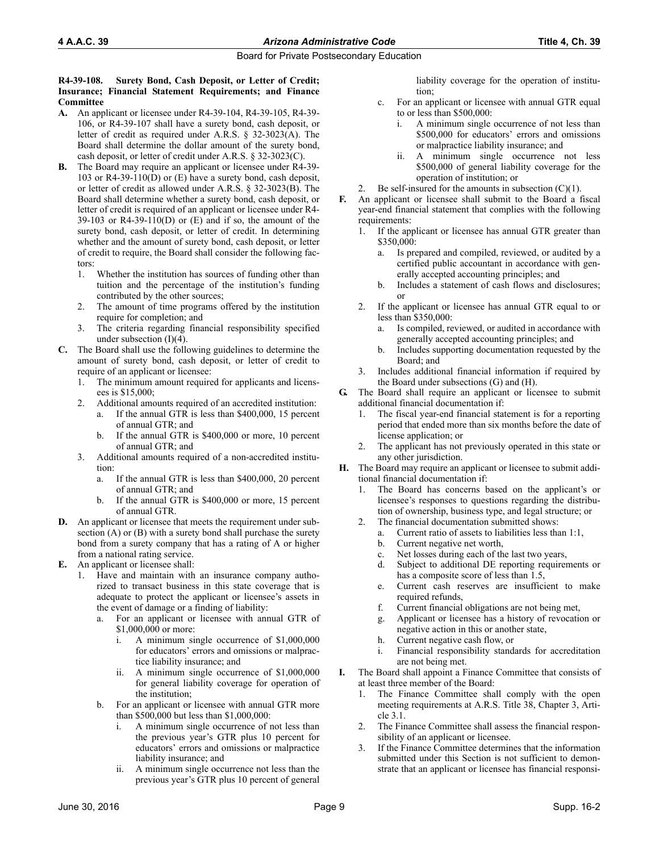#### **R4-39-108. Surety Bond, Cash Deposit, or Letter of Credit; Insurance; Financial Statement Requirements; and Finance Committee**

- **A.** An applicant or licensee under R4-39-104, R4-39-105, R4-39- 106, or R4-39-107 shall have a surety bond, cash deposit, or letter of credit as required under A.R.S. § 32-3023(A). The Board shall determine the dollar amount of the surety bond, cash deposit, or letter of credit under A.R.S. § 32-3023(C).
- **B.** The Board may require an applicant or licensee under R4-39- 103 or R4-39-110(D) or (E) have a surety bond, cash deposit, or letter of credit as allowed under A.R.S. § 32-3023(B). The Board shall determine whether a surety bond, cash deposit, or letter of credit is required of an applicant or licensee under R4-  $39-103$  or R4-39-110(D) or (E) and if so, the amount of the surety bond, cash deposit, or letter of credit. In determining whether and the amount of surety bond, cash deposit, or letter of credit to require, the Board shall consider the following factors:
	- 1. Whether the institution has sources of funding other than tuition and the percentage of the institution's funding contributed by the other sources;
	- 2. The amount of time programs offered by the institution require for completion; and
	- 3. The criteria regarding financial responsibility specified under subsection (I)(4).
- **C.** The Board shall use the following guidelines to determine the amount of surety bond, cash deposit, or letter of credit to require of an applicant or licensee:
	- 1. The minimum amount required for applicants and licensees is \$15,000;
	- 2. Additional amounts required of an accredited institution:
		- If the annual GTR is less than  $$400,000, 15$  percent of annual GTR; and
		- b. If the annual GTR is \$400,000 or more, 10 percent of annual GTR; and
	- 3. Additional amounts required of a non-accredited institution:
		- a. If the annual GTR is less than \$400,000, 20 percent of annual GTR; and
		- b. If the annual GTR is \$400,000 or more, 15 percent of annual GTR.
- **D.** An applicant or licensee that meets the requirement under subsection (A) or (B) with a surety bond shall purchase the surety bond from a surety company that has a rating of A or higher from a national rating service.
- **E.** An applicant or licensee shall:
	- 1. Have and maintain with an insurance company authorized to transact business in this state coverage that is adequate to protect the applicant or licensee's assets in the event of damage or a finding of liability:
		- a. For an applicant or licensee with annual GTR of \$1,000,000 or more:
			- i. A minimum single occurrence of \$1,000,000 for educators' errors and omissions or malpractice liability insurance; and
			- ii. A minimum single occurrence of \$1,000,000 for general liability coverage for operation of the institution;
		- b. For an applicant or licensee with annual GTR more than \$500,000 but less than \$1,000,000:
			- A minimum single occurrence of not less than the previous year's GTR plus 10 percent for educators' errors and omissions or malpractice liability insurance; and
			- ii. A minimum single occurrence not less than the previous year's GTR plus 10 percent of general

liability coverage for the operation of institution;

- c. For an applicant or licensee with annual GTR equal to or less than \$500,000:
	- i. A minimum single occurrence of not less than \$500,000 for educators' errors and omissions or malpractice liability insurance; and
	- ii. A minimum single occurrence not less \$500,000 of general liability coverage for the operation of institution; or
- 2. Be self-insured for the amounts in subsection  $(C)(1)$ .
- **F.** An applicant or licensee shall submit to the Board a fiscal year-end financial statement that complies with the following requirements:
	- 1. If the applicant or licensee has annual GTR greater than \$350,000:
		- a. Is prepared and compiled, reviewed, or audited by a certified public accountant in accordance with generally accepted accounting principles; and
		- b. Includes a statement of cash flows and disclosures; or
	- 2. If the applicant or licensee has annual GTR equal to or less than \$350,000:
		- a. Is compiled, reviewed, or audited in accordance with generally accepted accounting principles; and
		- b. Includes supporting documentation requested by the Board; and
	- 3. Includes additional financial information if required by the Board under subsections (G) and (H).
- **G.** The Board shall require an applicant or licensee to submit additional financial documentation if:
	- The fiscal year-end financial statement is for a reporting period that ended more than six months before the date of license application; or
	- 2. The applicant has not previously operated in this state or any other jurisdiction.
- **H.** The Board may require an applicant or licensee to submit additional financial documentation if:
	- 1. The Board has concerns based on the applicant's or licensee's responses to questions regarding the distribution of ownership, business type, and legal structure; or
	- 2. The financial documentation submitted shows:
		- a. Current ratio of assets to liabilities less than 1:1,
		- b. Current negative net worth,
		- c. Net losses during each of the last two years,
		- d. Subject to additional DE reporting requirements or has a composite score of less than 1.5,
		- e. Current cash reserves are insufficient to make required refunds.
		- f. Current financial obligations are not being met,
		- g. Applicant or licensee has a history of revocation or negative action in this or another state,
		- h. Current negative cash flow, or
		- i. Financial responsibility standards for accreditation are not being met.
- **I.** The Board shall appoint a Finance Committee that consists of at least three member of the Board:
	- 1. The Finance Committee shall comply with the open meeting requirements at A.R.S. Title 38, Chapter 3, Article 3.1.
	- 2. The Finance Committee shall assess the financial responsibility of an applicant or licensee.
	- 3. If the Finance Committee determines that the information submitted under this Section is not sufficient to demonstrate that an applicant or licensee has financial responsi-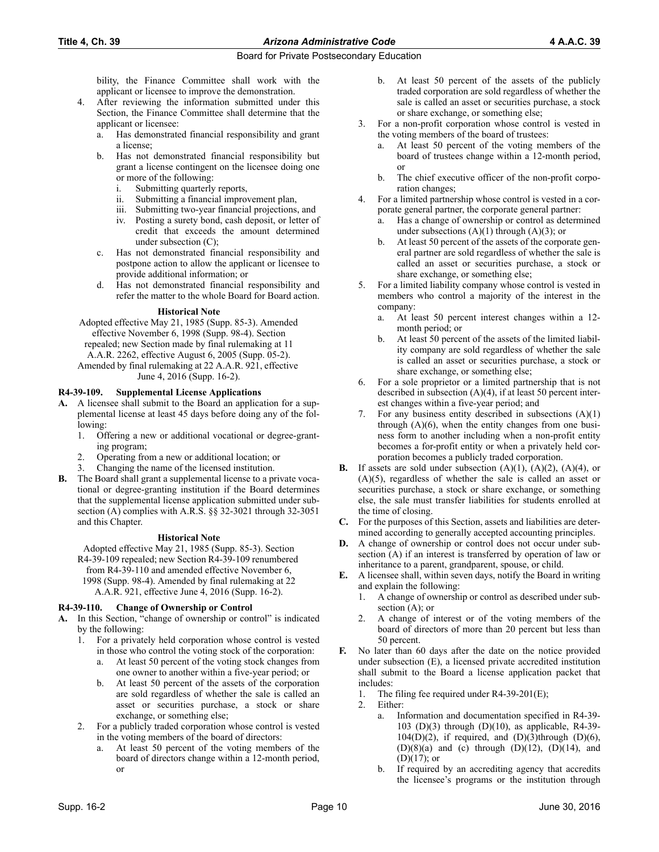bility, the Finance Committee shall work with the applicant or licensee to improve the demonstration.

- 4. After reviewing the information submitted under this Section, the Finance Committee shall determine that the applicant or licensee:
	- a. Has demonstrated financial responsibility and grant a license;
	- b. Has not demonstrated financial responsibility but grant a license contingent on the licensee doing one or more of the following:
		- i. Submitting quarterly reports,
		- ii. Submitting a financial improvement plan,
		- iii. Submitting two-year financial projections, and iv. Posting a surety bond, cash deposit, or letter of
		- Posting a surety bond, cash deposit, or letter of credit that exceeds the amount determined under subsection (C);
	- c. Has not demonstrated financial responsibility and postpone action to allow the applicant or licensee to provide additional information; or
	- d. Has not demonstrated financial responsibility and refer the matter to the whole Board for Board action.

## **Historical Note**

Adopted effective May 21, 1985 (Supp. 85-3). Amended effective November 6, 1998 (Supp. 98-4). Section repealed; new Section made by final rulemaking at 11

A.A.R. 2262, effective August 6, 2005 (Supp. 05-2). Amended by final rulemaking at 22 A.A.R. 921, effective June 4, 2016 (Supp. 16-2).

## **R4-39-109. Supplemental License Applications**

- **A.** A licensee shall submit to the Board an application for a supplemental license at least 45 days before doing any of the following:
	- 1. Offering a new or additional vocational or degree-granting program;
	- 2. Operating from a new or additional location; or
	- Changing the name of the licensed institution.
- **B.** The Board shall grant a supplemental license to a private vocational or degree-granting institution if the Board determines that the supplemental license application submitted under subsection (A) complies with A.R.S. §§ 32-3021 through 32-3051 and this Chapter.

## **Historical Note**

Adopted effective May 21, 1985 (Supp. 85-3). Section R4-39-109 repealed; new Section R4-39-109 renumbered from R4-39-110 and amended effective November 6, 1998 (Supp. 98-4). Amended by final rulemaking at 22 A.A.R. 921, effective June 4, 2016 (Supp. 16-2).

## **R4-39-110. Change of Ownership or Control**

- **A.** In this Section, "change of ownership or control" is indicated by the following:
	- 1. For a privately held corporation whose control is vested in those who control the voting stock of the corporation:
		- a. At least 50 percent of the voting stock changes from one owner to another within a five-year period; or
		- b. At least 50 percent of the assets of the corporation are sold regardless of whether the sale is called an asset or securities purchase, a stock or share exchange, or something else;
	- 2. For a publicly traded corporation whose control is vested in the voting members of the board of directors:
		- At least 50 percent of the voting members of the board of directors change within a 12-month period, or
- b. At least 50 percent of the assets of the publicly traded corporation are sold regardless of whether the sale is called an asset or securities purchase, a stock or share exchange, or something else;
- 3. For a non-profit corporation whose control is vested in the voting members of the board of trustees:
	- a. At least 50 percent of the voting members of the board of trustees change within a 12-month period, or
	- b. The chief executive officer of the non-profit corporation changes;
- 4. For a limited partnership whose control is vested in a corporate general partner, the corporate general partner:
	- Has a change of ownership or control as determined under subsections  $(A)(1)$  through  $(A)(3)$ ; or
	- b. At least 50 percent of the assets of the corporate general partner are sold regardless of whether the sale is called an asset or securities purchase, a stock or share exchange, or something else;
- 5. For a limited liability company whose control is vested in members who control a majority of the interest in the company:
	- a. At least 50 percent interest changes within a 12 month period; or
	- b. At least 50 percent of the assets of the limited liability company are sold regardless of whether the sale is called an asset or securities purchase, a stock or share exchange, or something else;
- 6. For a sole proprietor or a limited partnership that is not described in subsection (A)(4), if at least 50 percent interest changes within a five-year period; and
- For any business entity described in subsections  $(A)(1)$ through  $(A)(6)$ , when the entity changes from one business form to another including when a non-profit entity becomes a for-profit entity or when a privately held corporation becomes a publicly traded corporation.
- **B.** If assets are sold under subsection  $(A)(1)$ ,  $(A)(2)$ ,  $(A)(4)$ , or (A)(5), regardless of whether the sale is called an asset or securities purchase, a stock or share exchange, or something else, the sale must transfer liabilities for students enrolled at the time of closing.
- **C.** For the purposes of this Section, assets and liabilities are determined according to generally accepted accounting principles.
- **D.** A change of ownership or control does not occur under subsection (A) if an interest is transferred by operation of law or inheritance to a parent, grandparent, spouse, or child.
- **E.** A licensee shall, within seven days, notify the Board in writing and explain the following:
	- 1. A change of ownership or control as described under subsection (A); or
	- 2. A change of interest or of the voting members of the board of directors of more than 20 percent but less than 50 percent.
- **F.** No later than 60 days after the date on the notice provided under subsection (E), a licensed private accredited institution shall submit to the Board a license application packet that includes:
	- 1. The filing fee required under R4-39-201(E);
	- 2. Either:
		- a. Information and documentation specified in R4-39- 103 (D)(3) through (D)(10), as applicable, R4-39-  $104(D)(2)$ , if required, and  $(D)(3)$ through  $(D)(6)$ , (D)(8)(a) and (c) through (D)(12), (D)(14), and (D)(17); or
		- If required by an accrediting agency that accredits the licensee's programs or the institution through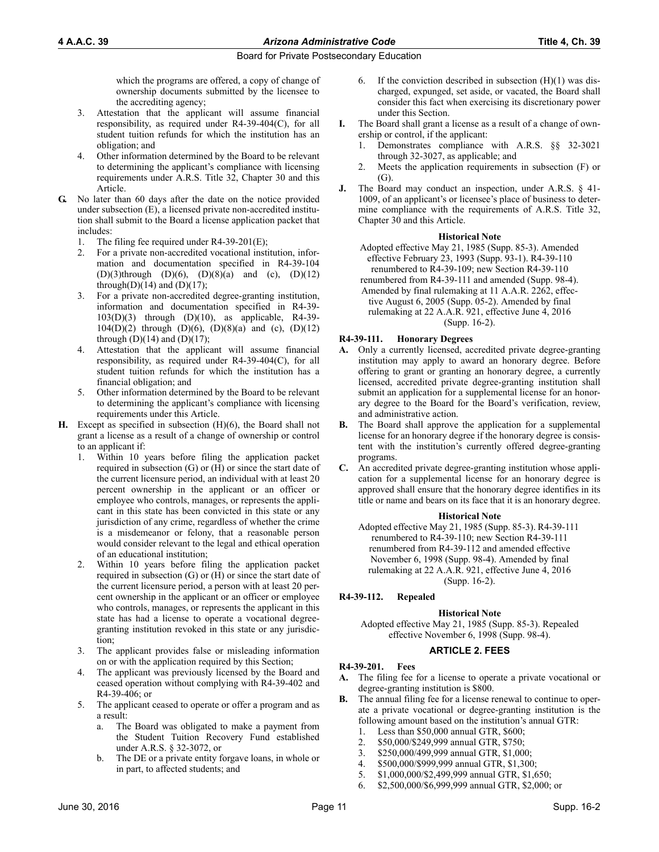which the programs are offered, a copy of change of ownership documents submitted by the licensee to the accrediting agency;

- 3. Attestation that the applicant will assume financial responsibility, as required under R4-39-404(C), for all student tuition refunds for which the institution has an obligation; and
- 4. Other information determined by the Board to be relevant to determining the applicant's compliance with licensing requirements under A.R.S. Title 32, Chapter 30 and this Article.
- **G.** No later than 60 days after the date on the notice provided under subsection (E), a licensed private non-accredited institution shall submit to the Board a license application packet that includes:
	- 1. The filing fee required under R4-39-201(E);
	- 2. For a private non-accredited vocational institution, information and documentation specified in R4-39-104  $(D)(3)$ through  $(D)(6)$ ,  $(D)(8)(a)$  and  $(c)$ ,  $(D)(12)$ through $(D)(14)$  and  $(D)(17)$ ;
	- 3. For a private non-accredited degree-granting institution, information and documentation specified in R4-39- 103(D)(3) through (D)(10), as applicable, R4-39- 104(D)(2) through (D)(6), (D)(8)(a) and (c), (D)(12) through  $(D)(14)$  and  $(D)(17)$ ;
	- 4. Attestation that the applicant will assume financial responsibility, as required under R4-39-404(C), for all student tuition refunds for which the institution has a financial obligation; and
	- 5. Other information determined by the Board to be relevant to determining the applicant's compliance with licensing requirements under this Article.
- **H.** Except as specified in subsection (H)(6), the Board shall not grant a license as a result of a change of ownership or control to an applicant if:
	- 1. Within 10 years before filing the application packet required in subsection (G) or (H) or since the start date of the current licensure period, an individual with at least 20 percent ownership in the applicant or an officer or employee who controls, manages, or represents the applicant in this state has been convicted in this state or any jurisdiction of any crime, regardless of whether the crime is a misdemeanor or felony, that a reasonable person would consider relevant to the legal and ethical operation of an educational institution;
	- 2. Within 10 years before filing the application packet required in subsection (G) or (H) or since the start date of the current licensure period, a person with at least 20 percent ownership in the applicant or an officer or employee who controls, manages, or represents the applicant in this state has had a license to operate a vocational degreegranting institution revoked in this state or any jurisdiction;
	- 3. The applicant provides false or misleading information on or with the application required by this Section;
	- 4. The applicant was previously licensed by the Board and ceased operation without complying with R4-39-402 and R4-39-406; or
	- 5. The applicant ceased to operate or offer a program and as a result:
		- a. The Board was obligated to make a payment from the Student Tuition Recovery Fund established under A.R.S. § 32-3072, or
		- b. The DE or a private entity forgave loans, in whole or in part, to affected students; and
- 6. If the conviction described in subsection  $(H)(1)$  was discharged, expunged, set aside, or vacated, the Board shall consider this fact when exercising its discretionary power under this Section.
- **I.** The Board shall grant a license as a result of a change of ownership or control, if the applicant:
	- 1. Demonstrates compliance with A.R.S. §§ 32-3021 through 32-3027, as applicable; and
	- 2. Meets the application requirements in subsection (F) or (G).
- **J.** The Board may conduct an inspection, under A.R.S. § 41-1009, of an applicant's or licensee's place of business to determine compliance with the requirements of A.R.S. Title 32, Chapter 30 and this Article.

#### **Historical Note**

- Adopted effective May 21, 1985 (Supp. 85-3). Amended effective February 23, 1993 (Supp. 93-1). R4-39-110 renumbered to R4-39-109; new Section R4-39-110
- renumbered from R4-39-111 and amended (Supp. 98-4). Amended by final rulemaking at 11 A.A.R. 2262, effective August 6, 2005 (Supp. 05-2). Amended by final rulemaking at 22 A.A.R. 921, effective June 4, 2016 (Supp. 16-2).

#### **R4-39-111. Honorary Degrees**

- **A.** Only a currently licensed, accredited private degree-granting institution may apply to award an honorary degree. Before offering to grant or granting an honorary degree, a currently licensed, accredited private degree-granting institution shall submit an application for a supplemental license for an honorary degree to the Board for the Board's verification, review, and administrative action.
- **B.** The Board shall approve the application for a supplemental license for an honorary degree if the honorary degree is consistent with the institution's currently offered degree-granting programs.
- **C.** An accredited private degree-granting institution whose application for a supplemental license for an honorary degree is approved shall ensure that the honorary degree identifies in its title or name and bears on its face that it is an honorary degree.

#### **Historical Note**

Adopted effective May 21, 1985 (Supp. 85-3). R4-39-111 renumbered to R4-39-110; new Section R4-39-111 renumbered from R4-39-112 and amended effective November 6, 1998 (Supp. 98-4). Amended by final rulemaking at 22 A.A.R. 921, effective June 4, 2016 (Supp. 16-2).

## **R4-39-112. Repealed**

## **Historical Note**

Adopted effective May 21, 1985 (Supp. 85-3). Repealed effective November 6, 1998 (Supp. 98-4).

## **ARTICLE 2. FEES**

#### **R4-39-201. Fees**

- **A.** The filing fee for a license to operate a private vocational or degree-granting institution is \$800.
- **B.** The annual filing fee for a license renewal to continue to operate a private vocational or degree-granting institution is the following amount based on the institution's annual GTR:
	- 1. Less than \$50,000 annual GTR, \$600;
	- 2. \$50,000/\$249,999 annual GTR, \$750;
	- 3. \$250,000/499,999 annual GTR, \$1,000;
	- 4. \$500,000/\$999,999 annual GTR, \$1,300;
	- 5. \$1,000,000/\$2,499,999 annual GTR, \$1,650;
	- 6. \$2,500,000/\$6,999,999 annual GTR, \$2,000; or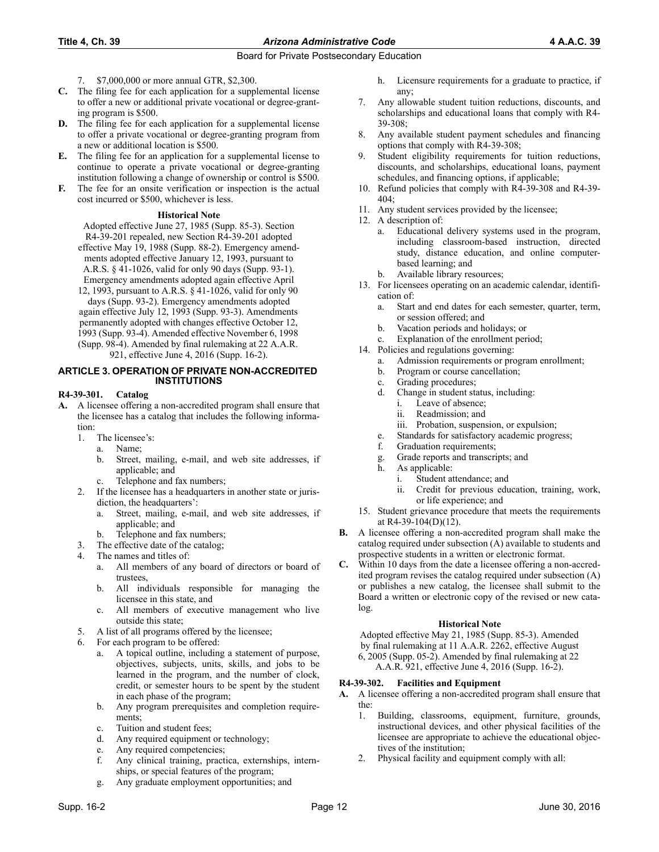- 7. \$7,000,000 or more annual GTR, \$2,300.
- **C.** The filing fee for each application for a supplemental license to offer a new or additional private vocational or degree-granting program is \$500.
- **D.** The filing fee for each application for a supplemental license to offer a private vocational or degree-granting program from a new or additional location is \$500.
- **E.** The filing fee for an application for a supplemental license to continue to operate a private vocational or degree-granting institution following a change of ownership or control is \$500.
- **F.** The fee for an onsite verification or inspection is the actual cost incurred or \$500, whichever is less.

## **Historical Note**

- Adopted effective June 27, 1985 (Supp. 85-3). Section R4-39-201 repealed, new Section R4-39-201 adopted
- effective May 19, 1988 (Supp. 88-2). Emergency amendments adopted effective January 12, 1993, pursuant to A.R.S. § 41-1026, valid for only 90 days (Supp. 93-1).
- Emergency amendments adopted again effective April 12, 1993, pursuant to A.R.S. § 41-1026, valid for only 90 days (Supp. 93-2). Emergency amendments adopted again effective July 12, 1993 (Supp. 93-3). Amendments permanently adopted with changes effective October 12, 1993 (Supp. 93-4). Amended effective November 6, 1998 (Supp. 98-4). Amended by final rulemaking at 22 A.A.R. 921, effective June 4, 2016 (Supp. 16-2).

#### **ARTICLE 3. OPERATION OF PRIVATE NON-ACCREDITED INSTITUTIONS**

#### **R4-39-301. Catalog**

- **A.** A licensee offering a non-accredited program shall ensure that the licensee has a catalog that includes the following information:
	- 1. The licensee's:
		- a. Name;
		- b. Street, mailing, e-mail, and web site addresses, if applicable; and
		- c. Telephone and fax numbers;
	- 2. If the licensee has a headquarters in another state or jurisdiction, the headquarters':
		- a. Street, mailing, e-mail, and web site addresses, if applicable; and
		- b. Telephone and fax numbers;
	- 3. The effective date of the catalog;
	- The names and titles of:
		- a. All members of any board of directors or board of trustees,
		- b. All individuals responsible for managing the licensee in this state, and
		- c. All members of executive management who live outside this state;
	- 5. A list of all programs offered by the licensee;
	- For each program to be offered:
		- a. A topical outline, including a statement of purpose, objectives, subjects, units, skills, and jobs to be learned in the program, and the number of clock, credit, or semester hours to be spent by the student in each phase of the program;
		- b. Any program prerequisites and completion requirements;
		- c. Tuition and student fees;
		- d. Any required equipment or technology;
		- e. Any required competencies;
		- f. Any clinical training, practica, externships, internships, or special features of the program;
		- g. Any graduate employment opportunities; and
- h. Licensure requirements for a graduate to practice, if any;
- 7. Any allowable student tuition reductions, discounts, and scholarships and educational loans that comply with R4- 39-308;
- 8. Any available student payment schedules and financing options that comply with R4-39-308;
- Student eligibility requirements for tuition reductions, discounts, and scholarships, educational loans, payment schedules, and financing options, if applicable;
- 10. Refund policies that comply with R4-39-308 and R4-39- 404;
- 11. Any student services provided by the licensee;
- 12. A description of:
	- Educational delivery systems used in the program, including classroom-based instruction, directed study, distance education, and online computerbased learning; and
	- b. Available library resources;
- 13. For licensees operating on an academic calendar, identification of:
	- a. Start and end dates for each semester, quarter, term, or session offered; and
	- b. Vacation periods and holidays; or
	- Explanation of the enrollment period;
- 14. Policies and regulations governing:
	- a. Admission requirements or program enrollment;
	- b. Program or course cancellation;
	- c. Grading procedures;
	- d. Change in student status, including:
		- i. Leave of absence;
		- ii. Readmission; and
		- iii. Probation, suspension, or expulsion;
	- e. Standards for satisfactory academic progress;
	- f. Graduation requirements;
	- g. Grade reports and transcripts; and
	- h. As applicable:
		- i. Student attendance; and
		- ii. Credit for previous education, training, work, or life experience; and
- 15. Student grievance procedure that meets the requirements at R4-39-104(D)(12).
- **B.** A licensee offering a non-accredited program shall make the catalog required under subsection (A) available to students and prospective students in a written or electronic format.
- Within 10 days from the date a licensee offering a non-accredited program revises the catalog required under subsection (A) or publishes a new catalog, the licensee shall submit to the Board a written or electronic copy of the revised or new catalog.

#### **Historical Note**

Adopted effective May 21, 1985 (Supp. 85-3). Amended by final rulemaking at 11 A.A.R. 2262, effective August 6, 2005 (Supp. 05-2). Amended by final rulemaking at 22 A.A.R. 921, effective June 4, 2016 (Supp. 16-2).

## **R4-39-302. Facilities and Equipment**

- **A.** A licensee offering a non-accredited program shall ensure that the:
	- 1. Building, classrooms, equipment, furniture, grounds, instructional devices, and other physical facilities of the licensee are appropriate to achieve the educational objectives of the institution;
	- 2. Physical facility and equipment comply with all: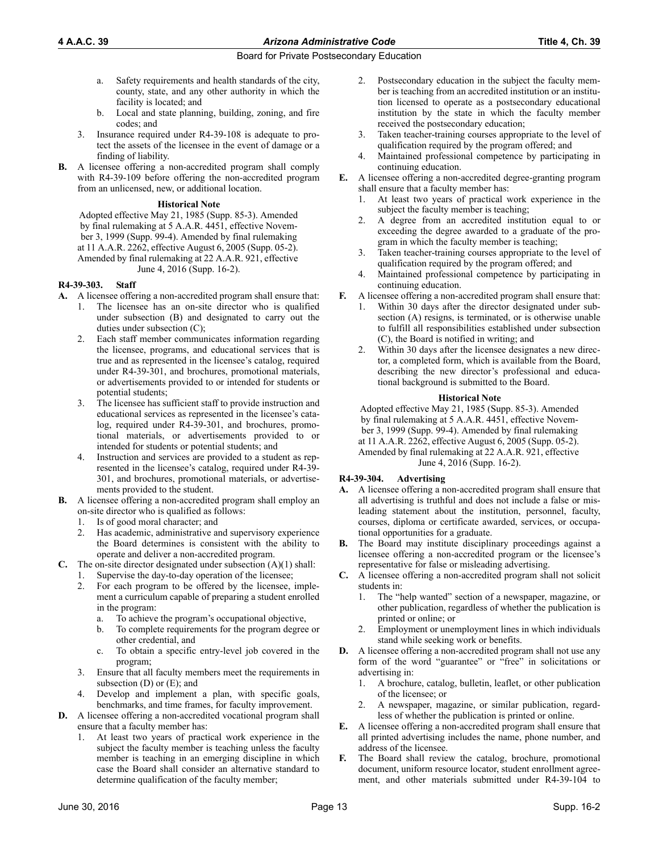- a. Safety requirements and health standards of the city, county, state, and any other authority in which the facility is located; and
- b. Local and state planning, building, zoning, and fire codes; and
- 3. Insurance required under R4-39-108 is adequate to protect the assets of the licensee in the event of damage or a finding of liability.
- **B.** A licensee offering a non-accredited program shall comply with R4-39-109 before offering the non-accredited program from an unlicensed, new, or additional location.

## **Historical Note**

Adopted effective May 21, 1985 (Supp. 85-3). Amended by final rulemaking at 5 A.A.R. 4451, effective November 3, 1999 (Supp. 99-4). Amended by final rulemaking at 11 A.A.R. 2262, effective August 6, 2005 (Supp. 05-2). Amended by final rulemaking at 22 A.A.R. 921, effective June 4, 2016 (Supp. 16-2).

## **R4-39-303. Staff**

- **A.** A licensee offering a non-accredited program shall ensure that:
	- 1. The licensee has an on-site director who is qualified under subsection (B) and designated to carry out the duties under subsection (C);
	- 2. Each staff member communicates information regarding the licensee, programs, and educational services that is true and as represented in the licensee's catalog, required under R4-39-301, and brochures, promotional materials, or advertisements provided to or intended for students or potential students;
	- 3. The licensee has sufficient staff to provide instruction and educational services as represented in the licensee's catalog, required under R4-39-301, and brochures, promotional materials, or advertisements provided to or intended for students or potential students; and
	- 4. Instruction and services are provided to a student as represented in the licensee's catalog, required under R4-39- 301, and brochures, promotional materials, or advertisements provided to the student.
- **B.** A licensee offering a non-accredited program shall employ an on-site director who is qualified as follows:
	- 1. Is of good moral character; and
	- 2. Has academic, administrative and supervisory experience the Board determines is consistent with the ability to operate and deliver a non-accredited program.
- **C.** The on-site director designated under subsection (A)(1) shall:
	- Supervise the day-to-day operation of the licensee;
	- 2. For each program to be offered by the licensee, implement a curriculum capable of preparing a student enrolled in the program:
		- a. To achieve the program's occupational objective,
		- b. To complete requirements for the program degree or other credential, and
		- c. To obtain a specific entry-level job covered in the program;
	- 3. Ensure that all faculty members meet the requirements in subsection  $(D)$  or  $(E)$ ; and
	- 4. Develop and implement a plan, with specific goals, benchmarks, and time frames, for faculty improvement.
- **D.** A licensee offering a non-accredited vocational program shall ensure that a faculty member has:
	- 1. At least two years of practical work experience in the subject the faculty member is teaching unless the faculty member is teaching in an emerging discipline in which case the Board shall consider an alternative standard to determine qualification of the faculty member;
- 2. Postsecondary education in the subject the faculty member is teaching from an accredited institution or an institution licensed to operate as a postsecondary educational institution by the state in which the faculty member received the postsecondary education;
- 3. Taken teacher-training courses appropriate to the level of qualification required by the program offered; and
- 4. Maintained professional competence by participating in continuing education.
- **E.** A licensee offering a non-accredited degree-granting program shall ensure that a faculty member has:
	- 1. At least two years of practical work experience in the subject the faculty member is teaching;
	- 2. A degree from an accredited institution equal to or exceeding the degree awarded to a graduate of the program in which the faculty member is teaching;
	- Taken teacher-training courses appropriate to the level of qualification required by the program offered; and
	- 4. Maintained professional competence by participating in continuing education.
- **F.** A licensee offering a non-accredited program shall ensure that:
	- 1. Within 30 days after the director designated under subsection (A) resigns, is terminated, or is otherwise unable to fulfill all responsibilities established under subsection (C), the Board is notified in writing; and
	- Within 30 days after the licensee designates a new director, a completed form, which is available from the Board, describing the new director's professional and educational background is submitted to the Board.

## **Historical Note**

Adopted effective May 21, 1985 (Supp. 85-3). Amended by final rulemaking at 5 A.A.R. 4451, effective November 3, 1999 (Supp. 99-4). Amended by final rulemaking at 11 A.A.R. 2262, effective August 6, 2005 (Supp. 05-2). Amended by final rulemaking at 22 A.A.R. 921, effective June 4, 2016 (Supp. 16-2).

## **R4-39-304. Advertising**

- **A.** A licensee offering a non-accredited program shall ensure that all advertising is truthful and does not include a false or misleading statement about the institution, personnel, faculty, courses, diploma or certificate awarded, services, or occupational opportunities for a graduate.
- **B.** The Board may institute disciplinary proceedings against a licensee offering a non-accredited program or the licensee's representative for false or misleading advertising.
- **C.** A licensee offering a non-accredited program shall not solicit students in:
	- 1. The "help wanted" section of a newspaper, magazine, or other publication, regardless of whether the publication is printed or online; or
	- 2. Employment or unemployment lines in which individuals stand while seeking work or benefits.
- **D.** A licensee offering a non-accredited program shall not use any form of the word "guarantee" or "free" in solicitations or advertising in:
	- 1. A brochure, catalog, bulletin, leaflet, or other publication of the licensee; or
	- 2. A newspaper, magazine, or similar publication, regardless of whether the publication is printed or online.
- **E.** A licensee offering a non-accredited program shall ensure that all printed advertising includes the name, phone number, and address of the licensee.
- **F.** The Board shall review the catalog, brochure, promotional document, uniform resource locator, student enrollment agreement, and other materials submitted under R4-39-104 to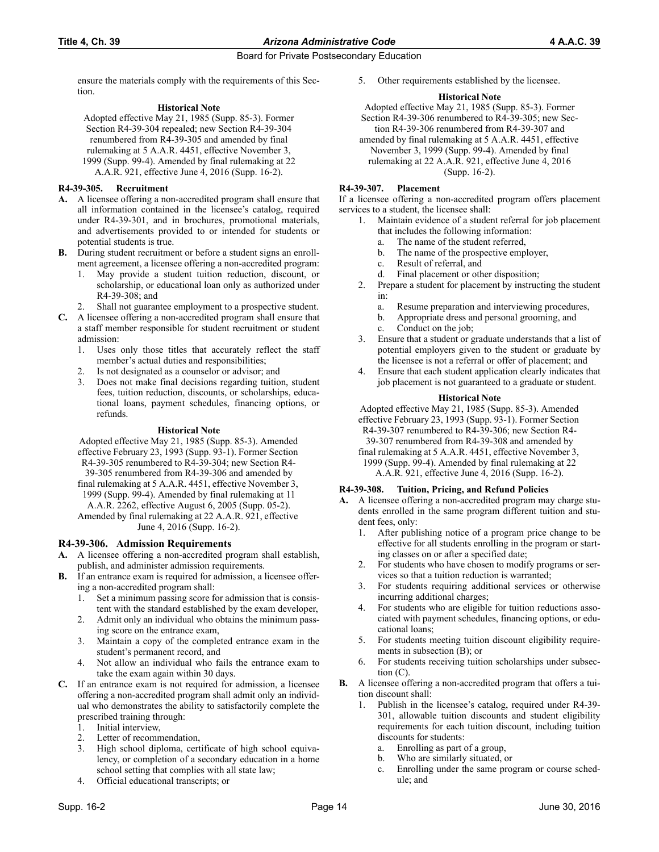ensure the materials comply with the requirements of this Section.

#### **Historical Note**

Adopted effective May 21, 1985 (Supp. 85-3). Former Section R4-39-304 repealed; new Section R4-39-304 renumbered from R4-39-305 and amended by final rulemaking at 5 A.A.R. 4451, effective November 3, 1999 (Supp. 99-4). Amended by final rulemaking at 22 A.A.R. 921, effective June 4, 2016 (Supp. 16-2).

## **R4-39-305. Recruitment**

- **A.** A licensee offering a non-accredited program shall ensure that all information contained in the licensee's catalog, required under R4-39-301, and in brochures, promotional materials, and advertisements provided to or intended for students or potential students is true.
- **B.** During student recruitment or before a student signs an enrollment agreement, a licensee offering a non-accredited program:
	- 1. May provide a student tuition reduction, discount, or scholarship, or educational loan only as authorized under R4-39-308; and
	- Shall not guarantee employment to a prospective student.
- **C.** A licensee offering a non-accredited program shall ensure that a staff member responsible for student recruitment or student admission:
	- 1. Uses only those titles that accurately reflect the staff member's actual duties and responsibilities;
	- 2. Is not designated as a counselor or advisor; and
	- 3. Does not make final decisions regarding tuition, student fees, tuition reduction, discounts, or scholarships, educational loans, payment schedules, financing options, or refunds.

## **Historical Note**

Adopted effective May 21, 1985 (Supp. 85-3). Amended effective February 23, 1993 (Supp. 93-1). Former Section R4-39-305 renumbered to R4-39-304; new Section R4- 39-305 renumbered from R4-39-306 and amended by final rulemaking at 5 A.A.R. 4451, effective November 3,

- 1999 (Supp. 99-4). Amended by final rulemaking at 11 A.A.R. 2262, effective August 6, 2005 (Supp. 05-2).
- Amended by final rulemaking at 22 A.A.R. 921, effective June 4, 2016 (Supp. 16-2).

## **R4-39-306. Admission Requirements**

- **A.** A licensee offering a non-accredited program shall establish, publish, and administer admission requirements.
- **B.** If an entrance exam is required for admission, a licensee offering a non-accredited program shall:
	- 1. Set a minimum passing score for admission that is consistent with the standard established by the exam developer,
	- 2. Admit only an individual who obtains the minimum passing score on the entrance exam,
	- 3. Maintain a copy of the completed entrance exam in the student's permanent record, and
	- 4. Not allow an individual who fails the entrance exam to take the exam again within 30 days.
- **C.** If an entrance exam is not required for admission, a licensee offering a non-accredited program shall admit only an individual who demonstrates the ability to satisfactorily complete the prescribed training through:
	- 1. Initial interview,
	- Letter of recommendation,
	- 3. High school diploma, certificate of high school equivalency, or completion of a secondary education in a home school setting that complies with all state law;
	- 4. Official educational transcripts; or

5. Other requirements established by the licensee.

## **Historical Note**

Adopted effective May 21, 1985 (Supp. 85-3). Former Section R4-39-306 renumbered to R4-39-305; new Section R4-39-306 renumbered from R4-39-307 and

amended by final rulemaking at 5 A.A.R. 4451, effective November 3, 1999 (Supp. 99-4). Amended by final rulemaking at 22 A.A.R. 921, effective June 4, 2016 (Supp. 16-2).

## **R4-39-307. Placement**

If a licensee offering a non-accredited program offers placement services to a student, the licensee shall:

- 1. Maintain evidence of a student referral for job placement that includes the following information:
	- a. The name of the student referred,
	- b. The name of the prospective employer,
	- c. Result of referral, and
	- d. Final placement or other disposition;
- 2. Prepare a student for placement by instructing the student in:
	- a. Resume preparation and interviewing procedures,
	- b. Appropriate dress and personal grooming, and
	- c. Conduct on the job;
- 3. Ensure that a student or graduate understands that a list of potential employers given to the student or graduate by the licensee is not a referral or offer of placement; and
- 4. Ensure that each student application clearly indicates that job placement is not guaranteed to a graduate or student.

## **Historical Note**

Adopted effective May 21, 1985 (Supp. 85-3). Amended effective February 23, 1993 (Supp. 93-1). Former Section R4-39-307 renumbered to R4-39-306; new Section R4- 39-307 renumbered from R4-39-308 and amended by final rulemaking at 5 A.A.R. 4451, effective November 3,

1999 (Supp. 99-4). Amended by final rulemaking at 22 A.A.R. 921, effective June 4, 2016 (Supp. 16-2).

## **R4-39-308. Tuition, Pricing, and Refund Policies**

- **A.** A licensee offering a non-accredited program may charge students enrolled in the same program different tuition and student fees, only:
	- 1. After publishing notice of a program price change to be effective for all students enrolling in the program or starting classes on or after a specified date;
	- 2. For students who have chosen to modify programs or services so that a tuition reduction is warranted;
	- 3. For students requiring additional services or otherwise incurring additional charges;
	- 4. For students who are eligible for tuition reductions associated with payment schedules, financing options, or educational loans;
	- 5. For students meeting tuition discount eligibility requirements in subsection (B); or
	- For students receiving tuition scholarships under subsection (C).
- **B.** A licensee offering a non-accredited program that offers a tuition discount shall:
	- 1. Publish in the licensee's catalog, required under R4-39- 301, allowable tuition discounts and student eligibility requirements for each tuition discount, including tuition discounts for students:
		- a. Enrolling as part of a group,
		- b. Who are similarly situated, or
		- c. Enrolling under the same program or course schedule; and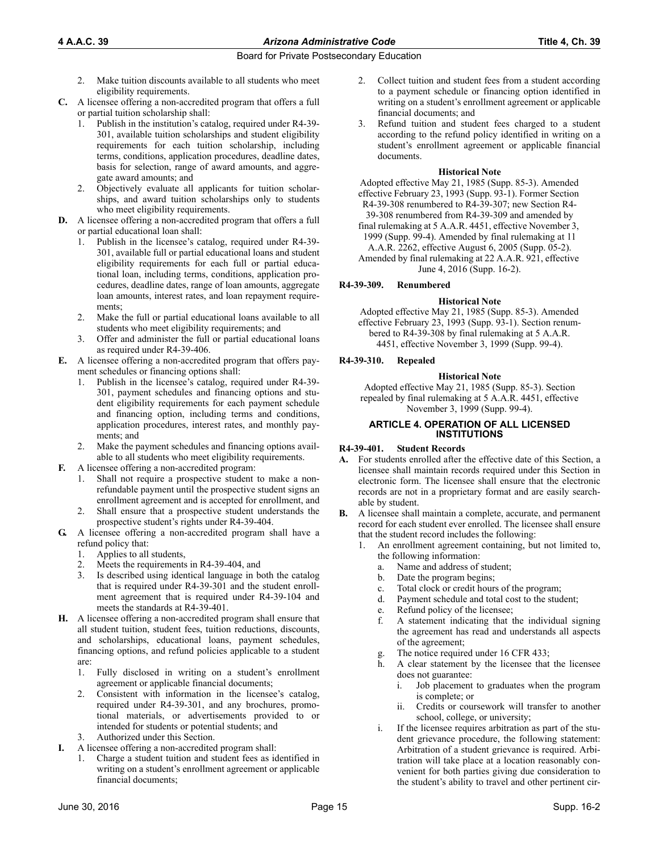- 2. Make tuition discounts available to all students who meet eligibility requirements.
- **C.** A licensee offering a non-accredited program that offers a full or partial tuition scholarship shall:
	- 1. Publish in the institution's catalog, required under R4-39- 301, available tuition scholarships and student eligibility requirements for each tuition scholarship, including terms, conditions, application procedures, deadline dates, basis for selection, range of award amounts, and aggregate award amounts; and
	- 2. Objectively evaluate all applicants for tuition scholarships, and award tuition scholarships only to students who meet eligibility requirements.
- **D.** A licensee offering a non-accredited program that offers a full or partial educational loan shall:
	- Publish in the licensee's catalog, required under R4-39-301, available full or partial educational loans and student eligibility requirements for each full or partial educational loan, including terms, conditions, application procedures, deadline dates, range of loan amounts, aggregate loan amounts, interest rates, and loan repayment requirements;
	- 2. Make the full or partial educational loans available to all students who meet eligibility requirements; and
	- 3. Offer and administer the full or partial educational loans as required under R4-39-406.
- **E.** A licensee offering a non-accredited program that offers payment schedules or financing options shall:
	- 1. Publish in the licensee's catalog, required under R4-39- 301, payment schedules and financing options and student eligibility requirements for each payment schedule and financing option, including terms and conditions, application procedures, interest rates, and monthly payments; and
	- Make the payment schedules and financing options available to all students who meet eligibility requirements.
- **F.** A licensee offering a non-accredited program:
	- 1. Shall not require a prospective student to make a nonrefundable payment until the prospective student signs an enrollment agreement and is accepted for enrollment, and
	- 2. Shall ensure that a prospective student understands the prospective student's rights under R4-39-404.
- **G.** A licensee offering a non-accredited program shall have a refund policy that:
	- 1. Applies to all students,
	- Meets the requirements in R4-39-404, and
	- 3. Is described using identical language in both the catalog that is required under R4-39-301 and the student enrollment agreement that is required under R4-39-104 and meets the standards at R4-39-401.
- **H.** A licensee offering a non-accredited program shall ensure that all student tuition, student fees, tuition reductions, discounts, and scholarships, educational loans, payment schedules, financing options, and refund policies applicable to a student are:
	- 1. Fully disclosed in writing on a student's enrollment agreement or applicable financial documents;
	- 2. Consistent with information in the licensee's catalog, required under R4-39-301, and any brochures, promotional materials, or advertisements provided to or intended for students or potential students; and
	- Authorized under this Section.
- **I.** A licensee offering a non-accredited program shall:
	- 1. Charge a student tuition and student fees as identified in writing on a student's enrollment agreement or applicable financial documents;
- 2. Collect tuition and student fees from a student according to a payment schedule or financing option identified in writing on a student's enrollment agreement or applicable financial documents; and
- 3. Refund tuition and student fees charged to a student according to the refund policy identified in writing on a student's enrollment agreement or applicable financial documents.

#### **Historical Note**

Adopted effective May 21, 1985 (Supp. 85-3). Amended effective February 23, 1993 (Supp. 93-1). Former Section R4-39-308 renumbered to R4-39-307; new Section R4- 39-308 renumbered from R4-39-309 and amended by

final rulemaking at 5 A.A.R. 4451, effective November 3, 1999 (Supp. 99-4). Amended by final rulemaking at 11 A.A.R. 2262, effective August 6, 2005 (Supp. 05-2).

Amended by final rulemaking at 22 A.A.R. 921, effective June 4, 2016 (Supp. 16-2).

#### **R4-39-309. Renumbered**

#### **Historical Note**

Adopted effective May 21, 1985 (Supp. 85-3). Amended effective February 23, 1993 (Supp. 93-1). Section renumbered to R4-39-308 by final rulemaking at 5 A.A.R. 4451, effective November 3, 1999 (Supp. 99-4).

#### **R4-39-310. Repealed**

#### **Historical Note**

Adopted effective May 21, 1985 (Supp. 85-3). Section repealed by final rulemaking at 5 A.A.R. 4451, effective November 3, 1999 (Supp. 99-4).

#### **ARTICLE 4. OPERATION OF ALL LICENSED INSTITUTIONS**

#### **R4-39-401. Student Records**

- **A.** For students enrolled after the effective date of this Section, a licensee shall maintain records required under this Section in electronic form. The licensee shall ensure that the electronic records are not in a proprietary format and are easily searchable by student.
- **B.** A licensee shall maintain a complete, accurate, and permanent record for each student ever enrolled. The licensee shall ensure that the student record includes the following:
	- 1. An enrollment agreement containing, but not limited to, the following information:
		- a. Name and address of student;
		- b. Date the program begins;
		- c. Total clock or credit hours of the program;
		- d. Payment schedule and total cost to the student;
		- e. Refund policy of the licensee;
		- f. A statement indicating that the individual signing the agreement has read and understands all aspects of the agreement;
		- g. The notice required under 16 CFR 433;
		- h. A clear statement by the licensee that the licensee does not guarantee:
			- i. Job placement to graduates when the program is complete; or
			- ii. Credits or coursework will transfer to another school, college, or university;
		- i. If the licensee requires arbitration as part of the student grievance procedure, the following statement: Arbitration of a student grievance is required. Arbitration will take place at a location reasonably convenient for both parties giving due consideration to the student's ability to travel and other pertinent cir-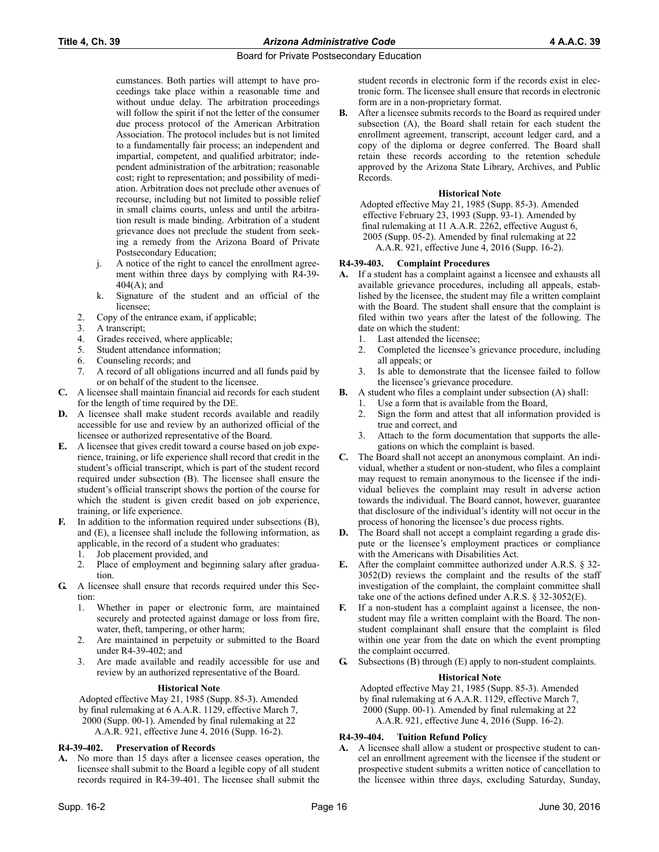cumstances. Both parties will attempt to have proceedings take place within a reasonable time and without undue delay. The arbitration proceedings will follow the spirit if not the letter of the consumer due process protocol of the American Arbitration Association. The protocol includes but is not limited to a fundamentally fair process; an independent and impartial, competent, and qualified arbitrator; independent administration of the arbitration; reasonable cost; right to representation; and possibility of mediation. Arbitration does not preclude other avenues of recourse, including but not limited to possible relief in small claims courts, unless and until the arbitration result is made binding. Arbitration of a student grievance does not preclude the student from seeking a remedy from the Arizona Board of Private Postsecondary Education;

- j. A notice of the right to cancel the enrollment agreement within three days by complying with R4-39- 404(A); and
- k. Signature of the student and an official of the licensee;
- 2. Copy of the entrance exam, if applicable;
- 3. A transcript;
- 4. Grades received, where applicable;
- 5. Student attendance information;
- 6. Counseling records; and
- 7. A record of all obligations incurred and all funds paid by or on behalf of the student to the licensee.
- **C.** A licensee shall maintain financial aid records for each student for the length of time required by the DE.
- **D.** A licensee shall make student records available and readily accessible for use and review by an authorized official of the licensee or authorized representative of the Board.
- **E.** A licensee that gives credit toward a course based on job experience, training, or life experience shall record that credit in the student's official transcript, which is part of the student record required under subsection (B). The licensee shall ensure the student's official transcript shows the portion of the course for which the student is given credit based on job experience, training, or life experience.
- **F.** In addition to the information required under subsections (B), and (E), a licensee shall include the following information, as applicable, in the record of a student who graduates:
	- 1. Job placement provided, and
	- 2. Place of employment and beginning salary after graduation.
- **G.** A licensee shall ensure that records required under this Section:
	- 1. Whether in paper or electronic form, are maintained securely and protected against damage or loss from fire, water, theft, tampering, or other harm;
	- 2. Are maintained in perpetuity or submitted to the Board under R4-39-402; and
	- 3. Are made available and readily accessible for use and review by an authorized representative of the Board.

## **Historical Note**

Adopted effective May 21, 1985 (Supp. 85-3). Amended by final rulemaking at 6 A.A.R. 1129, effective March 7, 2000 (Supp. 00-1). Amended by final rulemaking at 22 A.A.R. 921, effective June 4, 2016 (Supp. 16-2).

## **R4-39-402. Preservation of Records**

**A.** No more than 15 days after a licensee ceases operation, the licensee shall submit to the Board a legible copy of all student records required in R4-39-401. The licensee shall submit the student records in electronic form if the records exist in electronic form. The licensee shall ensure that records in electronic form are in a non-proprietary format.

**B.** After a licensee submits records to the Board as required under subsection (A), the Board shall retain for each student the enrollment agreement, transcript, account ledger card, and a copy of the diploma or degree conferred. The Board shall retain these records according to the retention schedule approved by the Arizona State Library, Archives, and Public Records.

## **Historical Note**

Adopted effective May 21, 1985 (Supp. 85-3). Amended effective February 23, 1993 (Supp. 93-1). Amended by final rulemaking at 11 A.A.R. 2262, effective August 6, 2005 (Supp. 05-2). Amended by final rulemaking at 22 A.A.R. 921, effective June 4, 2016 (Supp. 16-2).

## **R4-39-403. Complaint Procedures**

- **A.** If a student has a complaint against a licensee and exhausts all available grievance procedures, including all appeals, established by the licensee, the student may file a written complaint with the Board. The student shall ensure that the complaint is filed within two years after the latest of the following. The date on which the student:
	- 1. Last attended the licensee;
	- 2. Completed the licensee's grievance procedure, including all appeals; or
	- 3. Is able to demonstrate that the licensee failed to follow the licensee's grievance procedure.
- **B.** A student who files a complaint under subsection (A) shall:
	- 1. Use a form that is available from the Board,
		- 2. Sign the form and attest that all information provided is true and correct, and
		- 3. Attach to the form documentation that supports the allegations on which the complaint is based.
- **C.** The Board shall not accept an anonymous complaint. An individual, whether a student or non-student, who files a complaint may request to remain anonymous to the licensee if the individual believes the complaint may result in adverse action towards the individual. The Board cannot, however, guarantee that disclosure of the individual's identity will not occur in the process of honoring the licensee's due process rights.
- **D.** The Board shall not accept a complaint regarding a grade dispute or the licensee's employment practices or compliance with the Americans with Disabilities Act.
- **E.** After the complaint committee authorized under A.R.S. § 32- 3052(D) reviews the complaint and the results of the staff investigation of the complaint, the complaint committee shall take one of the actions defined under A.R.S. § 32-3052(E).
- **F.** If a non-student has a complaint against a licensee, the nonstudent may file a written complaint with the Board. The nonstudent complainant shall ensure that the complaint is filed within one year from the date on which the event prompting the complaint occurred.
- **G.** Subsections (B) through (E) apply to non-student complaints.

## **Historical Note**

Adopted effective May 21, 1985 (Supp. 85-3). Amended by final rulemaking at 6 A.A.R. 1129, effective March 7, 2000 (Supp. 00-1). Amended by final rulemaking at 22 A.A.R. 921, effective June 4, 2016 (Supp. 16-2).

## **R4-39-404. Tuition Refund Policy**

**A.** A licensee shall allow a student or prospective student to cancel an enrollment agreement with the licensee if the student or prospective student submits a written notice of cancellation to the licensee within three days, excluding Saturday, Sunday,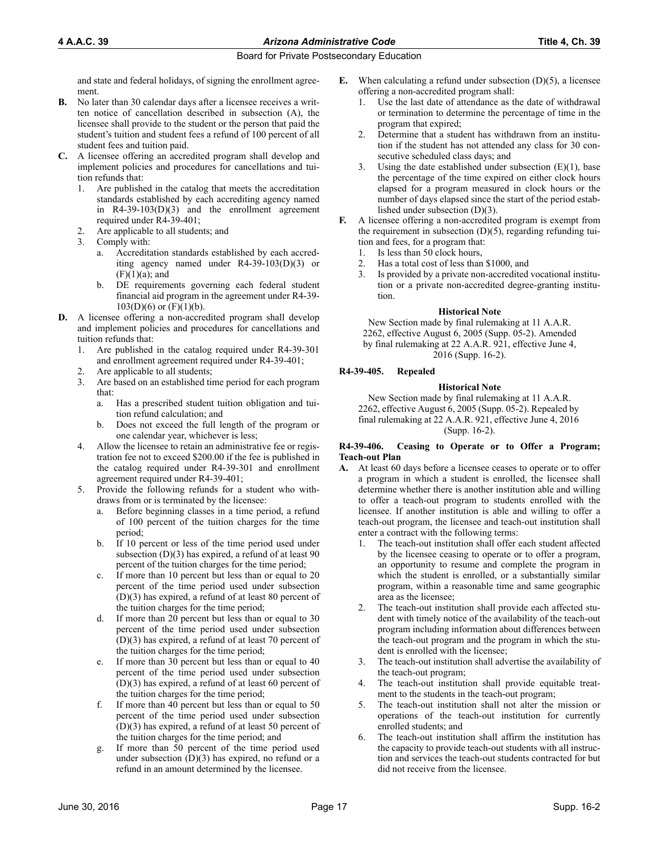and state and federal holidays, of signing the enrollment agreement.

- **B.** No later than 30 calendar days after a licensee receives a written notice of cancellation described in subsection (A), the licensee shall provide to the student or the person that paid the student's tuition and student fees a refund of 100 percent of all student fees and tuition paid.
- **C.** A licensee offering an accredited program shall develop and implement policies and procedures for cancellations and tuition refunds that:
	- 1. Are published in the catalog that meets the accreditation standards established by each accrediting agency named in R4-39-103(D)(3) and the enrollment agreement required under R4-39-401;
	- Are applicable to all students; and
	- 3. Comply with:
		- a. Accreditation standards established by each accrediting agency named under R4-39-103(D)(3) or  $(F)(1)(a)$ ; and
		- b. DE requirements governing each federal student financial aid program in the agreement under R4-39-  $103(D)(6)$  or  $(F)(1)(b)$ .
- **D.** A licensee offering a non-accredited program shall develop and implement policies and procedures for cancellations and tuition refunds that:
	- 1. Are published in the catalog required under R4-39-301 and enrollment agreement required under R4-39-401;
	- 2. Are applicable to all students;
	- 3. Are based on an established time period for each program that:
		- a. Has a prescribed student tuition obligation and tuition refund calculation; and
		- b. Does not exceed the full length of the program or one calendar year, whichever is less;
	- 4. Allow the licensee to retain an administrative fee or registration fee not to exceed \$200.00 if the fee is published in the catalog required under R4-39-301 and enrollment agreement required under R4-39-401;
	- 5. Provide the following refunds for a student who withdraws from or is terminated by the licensee:
		- a. Before beginning classes in a time period, a refund of 100 percent of the tuition charges for the time period;
		- b. If 10 percent or less of the time period used under subsection  $(D)(3)$  has expired, a refund of at least 90 percent of the tuition charges for the time period;
		- c. If more than 10 percent but less than or equal to 20 percent of the time period used under subsection (D)(3) has expired, a refund of at least 80 percent of the tuition charges for the time period;
		- d. If more than 20 percent but less than or equal to 30 percent of the time period used under subsection (D)(3) has expired, a refund of at least 70 percent of the tuition charges for the time period;
		- e. If more than 30 percent but less than or equal to 40 percent of the time period used under subsection (D)(3) has expired, a refund of at least 60 percent of the tuition charges for the time period;
		- f. If more than 40 percent but less than or equal to 50 percent of the time period used under subsection (D)(3) has expired, a refund of at least 50 percent of the tuition charges for the time period; and
		- g. If more than 50 percent of the time period used under subsection  $(D)(3)$  has expired, no refund or a refund in an amount determined by the licensee.
- **E.** When calculating a refund under subsection (D)(5), a licensee offering a non-accredited program shall:
	- 1. Use the last date of attendance as the date of withdrawal or termination to determine the percentage of time in the program that expired;
	- 2. Determine that a student has withdrawn from an institution if the student has not attended any class for 30 consecutive scheduled class days; and
	- 3. Using the date established under subsection  $(E)(1)$ , base the percentage of the time expired on either clock hours elapsed for a program measured in clock hours or the number of days elapsed since the start of the period established under subsection (D)(3).
- **F.** A licensee offering a non-accredited program is exempt from the requirement in subsection  $(D)(5)$ , regarding refunding tuition and fees, for a program that:
	- 1. Is less than 50 clock hours,
	- 2. Has a total cost of less than \$1000, and
	- 3. Is provided by a private non-accredited vocational institution or a private non-accredited degree-granting institution.

#### **Historical Note**

New Section made by final rulemaking at 11 A.A.R. 2262, effective August 6, 2005 (Supp. 05-2). Amended by final rulemaking at 22 A.A.R. 921, effective June 4, 2016 (Supp. 16-2).

## **R4-39-405. Repealed**

## **Historical Note**

New Section made by final rulemaking at 11 A.A.R. 2262, effective August 6, 2005 (Supp. 05-2). Repealed by final rulemaking at 22 A.A.R. 921, effective June 4, 2016 (Supp. 16-2).

#### **R4-39-406. Ceasing to Operate or to Offer a Program; Teach-out Plan**

- **A.** At least 60 days before a licensee ceases to operate or to offer a program in which a student is enrolled, the licensee shall determine whether there is another institution able and willing to offer a teach-out program to students enrolled with the licensee. If another institution is able and willing to offer a teach-out program, the licensee and teach-out institution shall enter a contract with the following terms:
	- 1. The teach-out institution shall offer each student affected by the licensee ceasing to operate or to offer a program, an opportunity to resume and complete the program in which the student is enrolled, or a substantially similar program, within a reasonable time and same geographic area as the licensee;
	- The teach-out institution shall provide each affected student with timely notice of the availability of the teach-out program including information about differences between the teach-out program and the program in which the student is enrolled with the licensee;
	- 3. The teach-out institution shall advertise the availability of the teach-out program;
	- 4. The teach-out institution shall provide equitable treatment to the students in the teach-out program;
	- 5. The teach-out institution shall not alter the mission or operations of the teach-out institution for currently enrolled students; and
	- 6. The teach-out institution shall affirm the institution has the capacity to provide teach-out students with all instruction and services the teach-out students contracted for but did not receive from the licensee.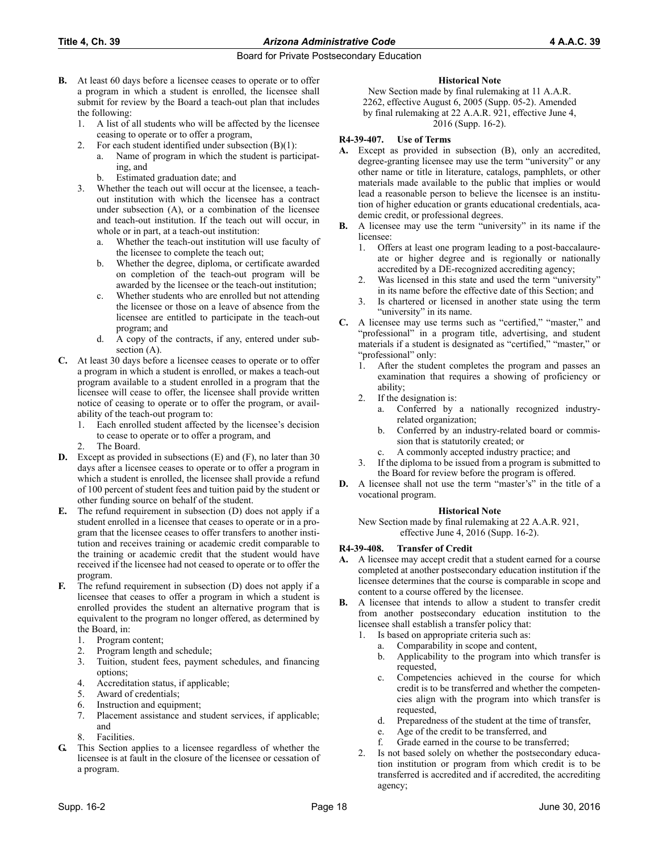## **Title 4, Ch. 39** *Arizona Administrative Code* **4 A.A.C. 39**

## Board for Private Postsecondary Education

- **B.** At least 60 days before a licensee ceases to operate or to offer a program in which a student is enrolled, the licensee shall submit for review by the Board a teach-out plan that includes the following:
	- 1. A list of all students who will be affected by the licensee ceasing to operate or to offer a program,
	- 2. For each student identified under subsection (B)(1):
		- a. Name of program in which the student is participating, and
		- b. Estimated graduation date; and
	- 3. Whether the teach out will occur at the licensee, a teachout institution with which the licensee has a contract under subsection (A), or a combination of the licensee and teach-out institution. If the teach out will occur, in whole or in part, at a teach-out institution:
		- a. Whether the teach-out institution will use faculty of the licensee to complete the teach out;
		- b. Whether the degree, diploma, or certificate awarded on completion of the teach-out program will be awarded by the licensee or the teach-out institution;
		- c. Whether students who are enrolled but not attending the licensee or those on a leave of absence from the licensee are entitled to participate in the teach-out program; and
		- d. A copy of the contracts, if any, entered under subsection (A).
- **C.** At least 30 days before a licensee ceases to operate or to offer a program in which a student is enrolled, or makes a teach-out program available to a student enrolled in a program that the licensee will cease to offer, the licensee shall provide written notice of ceasing to operate or to offer the program, or availability of the teach-out program to:
	- 1. Each enrolled student affected by the licensee's decision to cease to operate or to offer a program, and
	- 2. The Board.
- **D.** Except as provided in subsections (E) and (F), no later than 30 days after a licensee ceases to operate or to offer a program in which a student is enrolled, the licensee shall provide a refund of 100 percent of student fees and tuition paid by the student or other funding source on behalf of the student.
- **E.** The refund requirement in subsection (D) does not apply if a student enrolled in a licensee that ceases to operate or in a program that the licensee ceases to offer transfers to another institution and receives training or academic credit comparable to the training or academic credit that the student would have received if the licensee had not ceased to operate or to offer the program.
- **F.** The refund requirement in subsection (D) does not apply if a licensee that ceases to offer a program in which a student is enrolled provides the student an alternative program that is equivalent to the program no longer offered, as determined by the Board, in:
	- 1. Program content;
	- 2. Program length and schedule;
	- 3. Tuition, student fees, payment schedules, and financing options;
	- 4. Accreditation status, if applicable;
	- 5. Award of credentials;
	- 6. Instruction and equipment;
	- 7. Placement assistance and student services, if applicable; and
	- 8. Facilities.
- **G.** This Section applies to a licensee regardless of whether the licensee is at fault in the closure of the licensee or cessation of a program.

## **Historical Note**

New Section made by final rulemaking at 11 A.A.R. 2262, effective August 6, 2005 (Supp. 05-2). Amended by final rulemaking at 22 A.A.R. 921, effective June 4, 2016 (Supp. 16-2).

## **R4-39-407. Use of Terms**

- **A.** Except as provided in subsection (B), only an accredited, degree-granting licensee may use the term "university" or any other name or title in literature, catalogs, pamphlets, or other materials made available to the public that implies or would lead a reasonable person to believe the licensee is an institution of higher education or grants educational credentials, academic credit, or professional degrees.
- **B.** A licensee may use the term "university" in its name if the licensee:
	- 1. Offers at least one program leading to a post-baccalaureate or higher degree and is regionally or nationally accredited by a DE-recognized accrediting agency;
	- 2. Was licensed in this state and used the term "university" in its name before the effective date of this Section; and
	- Is chartered or licensed in another state using the term "university" in its name.
- **C.** A licensee may use terms such as "certified," "master," and "professional" in a program title, advertising, and student materials if a student is designated as "certified," "master," or "professional" only:
	- After the student completes the program and passes an examination that requires a showing of proficiency or ability;
	- 2. If the designation is:
		- a. Conferred by a nationally recognized industryrelated organization;
		- b. Conferred by an industry-related board or commission that is statutorily created; or
		- A commonly accepted industry practice; and
	- 3. If the diploma to be issued from a program is submitted to the Board for review before the program is offered.
- **D.** A licensee shall not use the term "master's" in the title of a vocational program.

## **Historical Note**

New Section made by final rulemaking at 22 A.A.R. 921, effective June 4, 2016 (Supp. 16-2).

## **R4-39-408. Transfer of Credit**

- **A.** A licensee may accept credit that a student earned for a course completed at another postsecondary education institution if the licensee determines that the course is comparable in scope and content to a course offered by the licensee.
- **B.** A licensee that intends to allow a student to transfer credit from another postsecondary education institution to the licensee shall establish a transfer policy that:
	- 1. Is based on appropriate criteria such as:
		- a. Comparability in scope and content,
		- b. Applicability to the program into which transfer is requested,
		- c. Competencies achieved in the course for which credit is to be transferred and whether the competencies align with the program into which transfer is requested,
		- d. Preparedness of the student at the time of transfer,
		- e. Age of the credit to be transferred, and
		- f. Grade earned in the course to be transferred;
	- 2. Is not based solely on whether the postsecondary education institution or program from which credit is to be transferred is accredited and if accredited, the accrediting agency;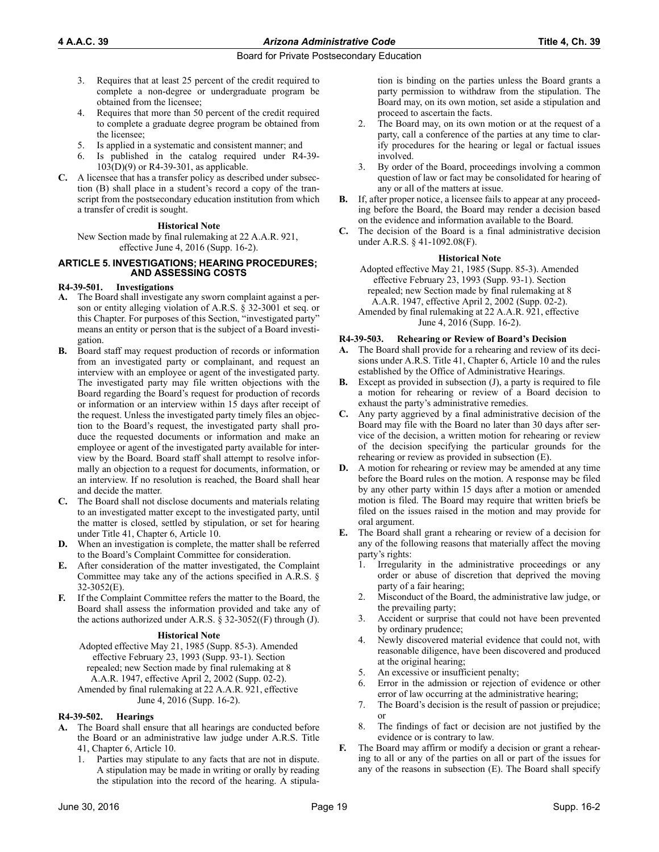- 3. Requires that at least 25 percent of the credit required to complete a non-degree or undergraduate program be obtained from the licensee;
- 4. Requires that more than 50 percent of the credit required to complete a graduate degree program be obtained from the licensee;
- 5. Is applied in a systematic and consistent manner; and
- Is published in the catalog required under R4-39-103(D)(9) or R4-39-301, as applicable.
- **C.** A licensee that has a transfer policy as described under subsection (B) shall place in a student's record a copy of the transcript from the postsecondary education institution from which a transfer of credit is sought.

#### **Historical Note**

New Section made by final rulemaking at 22 A.A.R. 921, effective June 4, 2016 (Supp. 16-2).

#### **ARTICLE 5. INVESTIGATIONS; HEARING PROCEDURES; AND ASSESSING COSTS**

#### **R4-39-501. Investigations**

- **A.** The Board shall investigate any sworn complaint against a person or entity alleging violation of A.R.S. § 32-3001 et seq. or this Chapter. For purposes of this Section, "investigated party" means an entity or person that is the subject of a Board investigation.
- **B.** Board staff may request production of records or information from an investigated party or complainant, and request an interview with an employee or agent of the investigated party. The investigated party may file written objections with the Board regarding the Board's request for production of records or information or an interview within 15 days after receipt of the request. Unless the investigated party timely files an objection to the Board's request, the investigated party shall produce the requested documents or information and make an employee or agent of the investigated party available for interview by the Board. Board staff shall attempt to resolve informally an objection to a request for documents, information, or an interview. If no resolution is reached, the Board shall hear and decide the matter.
- **C.** The Board shall not disclose documents and materials relating to an investigated matter except to the investigated party, until the matter is closed, settled by stipulation, or set for hearing under Title 41, Chapter 6, Article 10.
- **D.** When an investigation is complete, the matter shall be referred to the Board's Complaint Committee for consideration.
- **E.** After consideration of the matter investigated, the Complaint Committee may take any of the actions specified in A.R.S. § 32-3052(E).
- **F.** If the Complaint Committee refers the matter to the Board, the Board shall assess the information provided and take any of the actions authorized under A.R.S.  $\S$  32-3052((F) through (J).

#### **Historical Note**

Adopted effective May 21, 1985 (Supp. 85-3). Amended effective February 23, 1993 (Supp. 93-1). Section repealed; new Section made by final rulemaking at 8 A.A.R. 1947, effective April 2, 2002 (Supp. 02-2). Amended by final rulemaking at 22 A.A.R. 921, effective June 4, 2016 (Supp. 16-2).

#### **R4-39-502. Hearings**

- **A.** The Board shall ensure that all hearings are conducted before the Board or an administrative law judge under A.R.S. Title 41, Chapter 6, Article 10.
	- 1. Parties may stipulate to any facts that are not in dispute. A stipulation may be made in writing or orally by reading the stipulation into the record of the hearing. A stipula-

tion is binding on the parties unless the Board grants a party permission to withdraw from the stipulation. The Board may, on its own motion, set aside a stipulation and proceed to ascertain the facts.

- 2. The Board may, on its own motion or at the request of a party, call a conference of the parties at any time to clarify procedures for the hearing or legal or factual issues involved.
- 3. By order of the Board, proceedings involving a common question of law or fact may be consolidated for hearing of any or all of the matters at issue.
- **B.** If, after proper notice, a licensee fails to appear at any proceeding before the Board, the Board may render a decision based on the evidence and information available to the Board.
- **C.** The decision of the Board is a final administrative decision under A.R.S. § 41-1092.08(F).

## **Historical Note**

Adopted effective May 21, 1985 (Supp. 85-3). Amended effective February 23, 1993 (Supp. 93-1). Section repealed; new Section made by final rulemaking at 8 A.A.R. 1947, effective April 2, 2002 (Supp. 02-2).

Amended by final rulemaking at 22 A.A.R. 921, effective June 4, 2016 (Supp. 16-2).

#### **R4-39-503. Rehearing or Review of Board's Decision**

- **A.** The Board shall provide for a rehearing and review of its decisions under A.R.S. Title 41, Chapter 6, Article 10 and the rules established by the Office of Administrative Hearings.
- **B.** Except as provided in subsection (J), a party is required to file a motion for rehearing or review of a Board decision to exhaust the party's administrative remedies.
- **C.** Any party aggrieved by a final administrative decision of the Board may file with the Board no later than 30 days after service of the decision, a written motion for rehearing or review of the decision specifying the particular grounds for the rehearing or review as provided in subsection (E).
- **D.** A motion for rehearing or review may be amended at any time before the Board rules on the motion. A response may be filed by any other party within 15 days after a motion or amended motion is filed. The Board may require that written briefs be filed on the issues raised in the motion and may provide for oral argument.
- **E.** The Board shall grant a rehearing or review of a decision for any of the following reasons that materially affect the moving party's rights:
	- Irregularity in the administrative proceedings or any order or abuse of discretion that deprived the moving party of a fair hearing;
	- 2. Misconduct of the Board, the administrative law judge, or the prevailing party;
	- Accident or surprise that could not have been prevented by ordinary prudence;
	- 4. Newly discovered material evidence that could not, with reasonable diligence, have been discovered and produced at the original hearing;
	- 5. An excessive or insufficient penalty;
	- 6. Error in the admission or rejection of evidence or other error of law occurring at the administrative hearing;
	- 7. The Board's decision is the result of passion or prejudice; or
	- 8. The findings of fact or decision are not justified by the evidence or is contrary to law.
- **F.** The Board may affirm or modify a decision or grant a rehearing to all or any of the parties on all or part of the issues for any of the reasons in subsection (E). The Board shall specify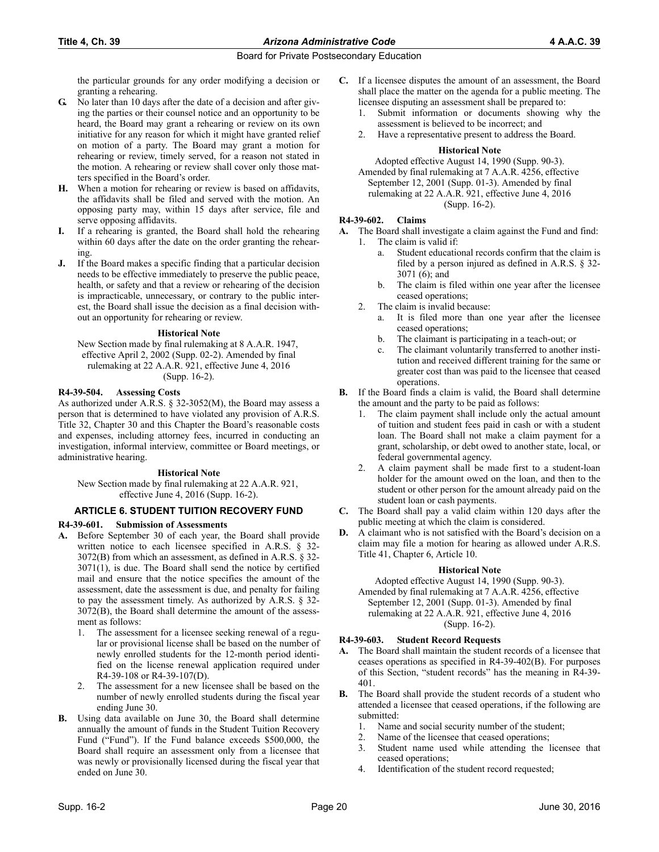the particular grounds for any order modifying a decision or granting a rehearing.

- **G.** No later than 10 days after the date of a decision and after giving the parties or their counsel notice and an opportunity to be heard, the Board may grant a rehearing or review on its own initiative for any reason for which it might have granted relief on motion of a party. The Board may grant a motion for rehearing or review, timely served, for a reason not stated in the motion. A rehearing or review shall cover only those matters specified in the Board's order.
- **H.** When a motion for rehearing or review is based on affidavits, the affidavits shall be filed and served with the motion. An opposing party may, within 15 days after service, file and serve opposing affidavits.
- **I.** If a rehearing is granted, the Board shall hold the rehearing within 60 days after the date on the order granting the rehearing.
- **J.** If the Board makes a specific finding that a particular decision needs to be effective immediately to preserve the public peace, health, or safety and that a review or rehearing of the decision is impracticable, unnecessary, or contrary to the public interest, the Board shall issue the decision as a final decision without an opportunity for rehearing or review.

#### **Historical Note**

New Section made by final rulemaking at 8 A.A.R. 1947, effective April 2, 2002 (Supp. 02-2). Amended by final rulemaking at 22 A.A.R. 921, effective June 4, 2016 (Supp. 16-2).

## **R4-39-504. Assessing Costs**

As authorized under A.R.S. § 32-3052(M), the Board may assess a person that is determined to have violated any provision of A.R.S. Title 32, Chapter 30 and this Chapter the Board's reasonable costs and expenses, including attorney fees, incurred in conducting an investigation, informal interview, committee or Board meetings, or administrative hearing.

## **Historical Note**

New Section made by final rulemaking at 22 A.A.R. 921, effective June 4, 2016 (Supp. 16-2).

## **ARTICLE 6. STUDENT TUITION RECOVERY FUND**

## **R4-39-601. Submission of Assessments**

- **A.** Before September 30 of each year, the Board shall provide written notice to each licensee specified in A.R.S. § 32- 3072(B) from which an assessment, as defined in A.R.S. § 32- 3071(1), is due. The Board shall send the notice by certified mail and ensure that the notice specifies the amount of the assessment, date the assessment is due, and penalty for failing to pay the assessment timely. As authorized by A.R.S. § 32- 3072(B), the Board shall determine the amount of the assessment as follows:
	- The assessment for a licensee seeking renewal of a regular or provisional license shall be based on the number of newly enrolled students for the 12-month period identified on the license renewal application required under R4-39-108 or R4-39-107(D).
	- The assessment for a new licensee shall be based on the number of newly enrolled students during the fiscal year ending June 30.
- **B.** Using data available on June 30, the Board shall determine annually the amount of funds in the Student Tuition Recovery Fund ("Fund"). If the Fund balance exceeds \$500,000, the Board shall require an assessment only from a licensee that was newly or provisionally licensed during the fiscal year that ended on June 30.
- **C.** If a licensee disputes the amount of an assessment, the Board shall place the matter on the agenda for a public meeting. The licensee disputing an assessment shall be prepared to:
	- Submit information or documents showing why the assessment is believed to be incorrect; and
	- 2. Have a representative present to address the Board.

#### **Historical Note**

Adopted effective August 14, 1990 (Supp. 90-3). Amended by final rulemaking at 7 A.A.R. 4256, effective September 12, 2001 (Supp. 01-3). Amended by final rulemaking at 22 A.A.R. 921, effective June 4, 2016 (Supp. 16-2).

## **R4-39-602. Claims**

- **A.** The Board shall investigate a claim against the Fund and find: 1. The claim is valid if:
	- a. Student educational records confirm that the claim is filed by a person injured as defined in A.R.S. § 32- 3071 (6); and
	- b. The claim is filed within one year after the licensee ceased operations;
	- 2. The claim is invalid because:
		- a. It is filed more than one year after the licensee ceased operations;
		- b. The claimant is participating in a teach-out; or
		- c. The claimant voluntarily transferred to another institution and received different training for the same or greater cost than was paid to the licensee that ceased operations.
- **B.** If the Board finds a claim is valid, the Board shall determine the amount and the party to be paid as follows:
	- The claim payment shall include only the actual amount of tuition and student fees paid in cash or with a student loan. The Board shall not make a claim payment for a grant, scholarship, or debt owed to another state, local, or federal governmental agency.
	- 2. A claim payment shall be made first to a student-loan holder for the amount owed on the loan, and then to the student or other person for the amount already paid on the student loan or cash payments.
- **C.** The Board shall pay a valid claim within 120 days after the public meeting at which the claim is considered.
- **D.** A claimant who is not satisfied with the Board's decision on a claim may file a motion for hearing as allowed under A.R.S. Title 41, Chapter 6, Article 10.

## **Historical Note**

Adopted effective August 14, 1990 (Supp. 90-3). Amended by final rulemaking at 7 A.A.R. 4256, effective September 12, 2001 (Supp. 01-3). Amended by final rulemaking at 22 A.A.R. 921, effective June 4, 2016 (Supp. 16-2).

## **R4-39-603. Student Record Requests**

- **A.** The Board shall maintain the student records of a licensee that ceases operations as specified in R4-39-402(B). For purposes of this Section, "student records" has the meaning in R4-39- 401.
- **B.** The Board shall provide the student records of a student who attended a licensee that ceased operations, if the following are submitted:
	- 1. Name and social security number of the student;
	- 2. Name of the licensee that ceased operations;
	- 3. Student name used while attending the licensee that ceased operations;
	- 4. Identification of the student record requested;